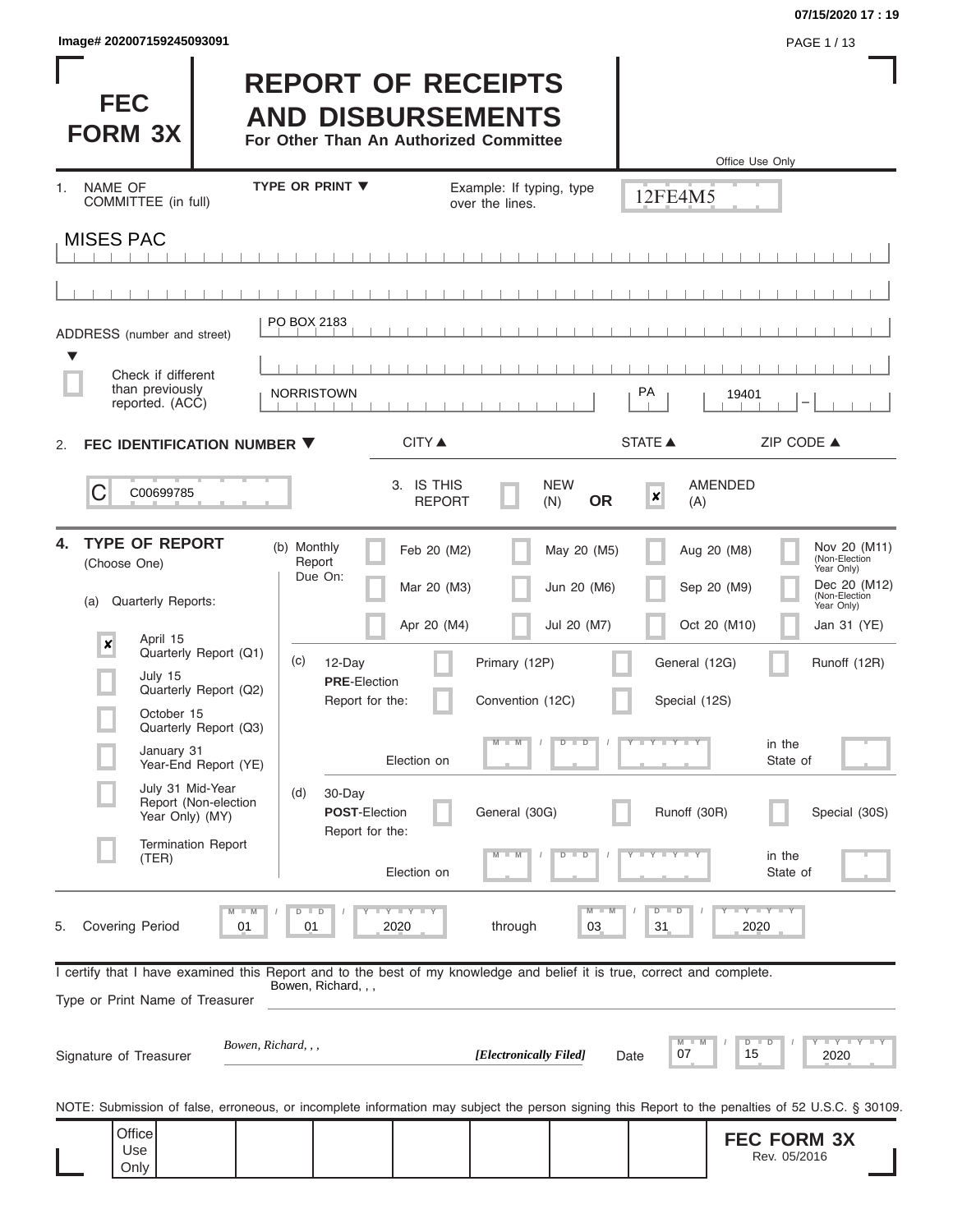| Image# 202007159245093091 | PAGE 1/13 |
|---------------------------|-----------|
|---------------------------|-----------|

**FEC FORM 3X**

#### **07/15/2020 17 : 19**

# **REPORT OF RECEIPTS AND DISBURSEMENTS**

**For Other Than An Authorized Committee**

|                                                                                                                         |                                       |                             |                                              |                           | Office Use Only                                                                                                                                   |
|-------------------------------------------------------------------------------------------------------------------------|---------------------------------------|-----------------------------|----------------------------------------------|---------------------------|---------------------------------------------------------------------------------------------------------------------------------------------------|
| NAME OF<br>1.<br>COMMITTEE (in full)                                                                                    | <b>TYPE OR PRINT ▼</b>                | over the lines.             | Example: If typing, type                     | 12FE4M5                   |                                                                                                                                                   |
| <b>MISES PAC</b>                                                                                                        |                                       |                             |                                              |                           |                                                                                                                                                   |
|                                                                                                                         |                                       |                             |                                              |                           |                                                                                                                                                   |
|                                                                                                                         | PO BOX 2183                           |                             |                                              |                           |                                                                                                                                                   |
| ADDRESS (number and street)                                                                                             |                                       |                             |                                              |                           |                                                                                                                                                   |
| Check if different<br>than previously<br>reported. (ACC)                                                                | <b>NORRISTOWN</b>                     |                             |                                              | PA                        | 19401<br>-                                                                                                                                        |
| FEC IDENTIFICATION NUMBER ▼<br>2.                                                                                       |                                       | <b>CITY</b> ▲               |                                              | <b>STATE ▲</b>            | ZIP CODE ▲                                                                                                                                        |
| C<br>C00699785                                                                                                          |                                       | 3. IS THIS<br><b>REPORT</b> | <b>NEW</b><br><b>OR</b><br>(N)               | $\boldsymbol{x}$<br>(A)   | <b>AMENDED</b>                                                                                                                                    |
| <b>TYPE OF REPORT</b><br>4.<br>(Choose One)                                                                             | (b) Monthly<br>Report<br>Due On:      | Feb 20 (M2)                 | May 20 (M5)                                  |                           | Nov 20 (M11)<br>(Non-Election<br>Aug 20 (M8)<br>Year Only)                                                                                        |
| <b>Quarterly Reports:</b><br>(a)                                                                                        |                                       | Mar 20 (M3)                 | Jun 20 (M6)                                  |                           | Dec 20 (M12)<br>Sep 20 (M9)<br>(Non-Election<br>Year Only)                                                                                        |
| April 15<br>$\boldsymbol{\mathsf{x}}$<br>Quarterly Report (Q1)                                                          |                                       | Apr 20 (M4)                 | Jul 20 (M7)                                  |                           | Oct 20 (M10)<br>Jan 31 (YE)                                                                                                                       |
| July 15                                                                                                                 | (c)<br>12-Day<br><b>PRE-Election</b>  |                             | Primary (12P)                                | General (12G)             | Runoff (12R)                                                                                                                                      |
| Quarterly Report (Q2)<br>October 15                                                                                     | Report for the:                       |                             | Convention (12C)                             | Special (12S)             |                                                                                                                                                   |
| Quarterly Report (Q3)<br>January 31<br>Year-End Report (YE)                                                             |                                       | Election on                 | $M - M$<br>$\overline{\mathsf{D}}$<br>$\Box$ | Y L Y L Y                 | in the<br>State of                                                                                                                                |
| July 31 Mid-Year<br>Report (Non-election<br>Year Only) (MY)                                                             | 30-Day<br>(d)<br><b>POST-Election</b> |                             | General (30G)                                | Runoff (30R)              | Special (30S)                                                                                                                                     |
| <b>Termination Report</b>                                                                                               | Report for the:                       |                             | $-M$ /                                       |                           |                                                                                                                                                   |
| (TER)                                                                                                                   |                                       | Election on                 |                                              |                           | in the<br>State of                                                                                                                                |
| <b>Covering Period</b><br>5.                                                                                            | 01<br>01                              | Y LY LY<br>2020             | M<br>through<br>03                           | $\overline{D}$<br>D<br>31 | $Y - Y - Y$<br>2020                                                                                                                               |
| I certify that I have examined this Report and to the best of my knowledge and belief it is true, correct and complete. | Bowen, Richard, , ,                   |                             |                                              |                           |                                                                                                                                                   |
| Type or Print Name of Treasurer                                                                                         |                                       |                             |                                              |                           |                                                                                                                                                   |
| Signature of Treasurer                                                                                                  | Bowen, Richard, , ,                   |                             | [Electronically Filed]                       | 07<br>Date                | $\mathbf{I} = \mathbf{Y} - \mathbf{I} - \mathbf{Y}$<br>D<br>15<br>2020                                                                            |
|                                                                                                                         |                                       |                             |                                              |                           | NOTE: Submission of false, erroneous, or incomplete information may subject the person signing this Report to the penalties of 52 U.S.C. § 30109. |
| Office<br>Use<br>Only                                                                                                   |                                       |                             |                                              |                           | <b>FEC FORM 3X</b><br>Rev. 05/2016                                                                                                                |
|                                                                                                                         |                                       |                             |                                              |                           |                                                                                                                                                   |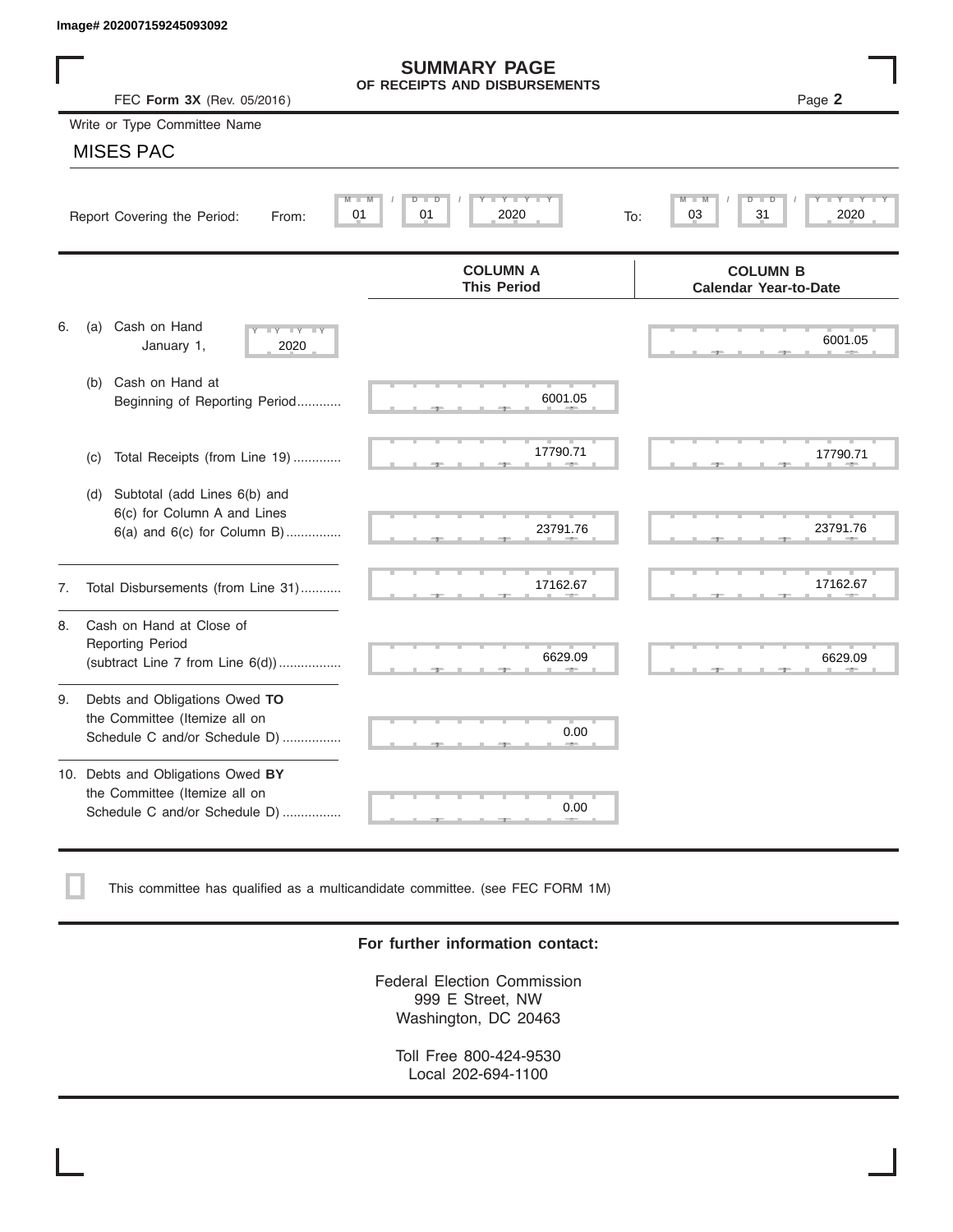|    | Image# 202007159245093092                                                                             |                                                      |                                                 |
|----|-------------------------------------------------------------------------------------------------------|------------------------------------------------------|-------------------------------------------------|
|    | FEC Form 3X (Rev. 05/2016)                                                                            | <b>SUMMARY PAGE</b><br>OF RECEIPTS AND DISBURSEMENTS | Page 2                                          |
|    | Write or Type Committee Name                                                                          |                                                      |                                                 |
|    | <b>MISES PAC</b>                                                                                      |                                                      |                                                 |
|    | Report Covering the Period:<br>From:                                                                  | Y L Y L<br>$D$ $\Box$<br>D<br>01<br>2020<br>01       | D<br>31<br>2020<br>03<br>To:                    |
|    |                                                                                                       | <b>COLUMN A</b><br><b>This Period</b>                | <b>COLUMN B</b><br><b>Calendar Year-to-Date</b> |
| 6. | Cash on Hand<br>(a)<br>$-Y - Y - Y$<br>January 1,<br>2020                                             |                                                      | 6001.05                                         |
|    | Cash on Hand at<br>(b)<br>Beginning of Reporting Period                                               | 6001.05                                              |                                                 |
|    | Total Receipts (from Line 19)<br>(c)                                                                  | 17790.71                                             | 17790.71                                        |
|    | Subtotal (add Lines 6(b) and<br>(d)<br>6(c) for Column A and Lines<br>$6(a)$ and $6(c)$ for Column B) | 23791.76                                             | 23791.76                                        |
| 7. | Total Disbursements (from Line 31)                                                                    | 17162.67                                             | 17162.67                                        |
| 8. | Cash on Hand at Close of<br><b>Reporting Period</b><br>(subtract Line $7$ from Line $6(d)$ )          | 6629.09                                              | 6629.09                                         |
| 9. | Debts and Obligations Owed TO<br>the Committee (Itemize all on<br>Schedule C and/or Schedule D)       | 0.00                                                 |                                                 |
|    | 10. Debts and Obligations Owed BY<br>the Committee (Itemize all on<br>Schedule C and/or Schedule D)   | т<br>0.00                                            |                                                 |

This committee has qualified as a multicandidate committee. (see FEC FORM 1M)

#### **For further information contact:**

Federal Election Commission 999 E Street, NW Washington, DC 20463

Toll Free 800-424-9530 Local 202-694-1100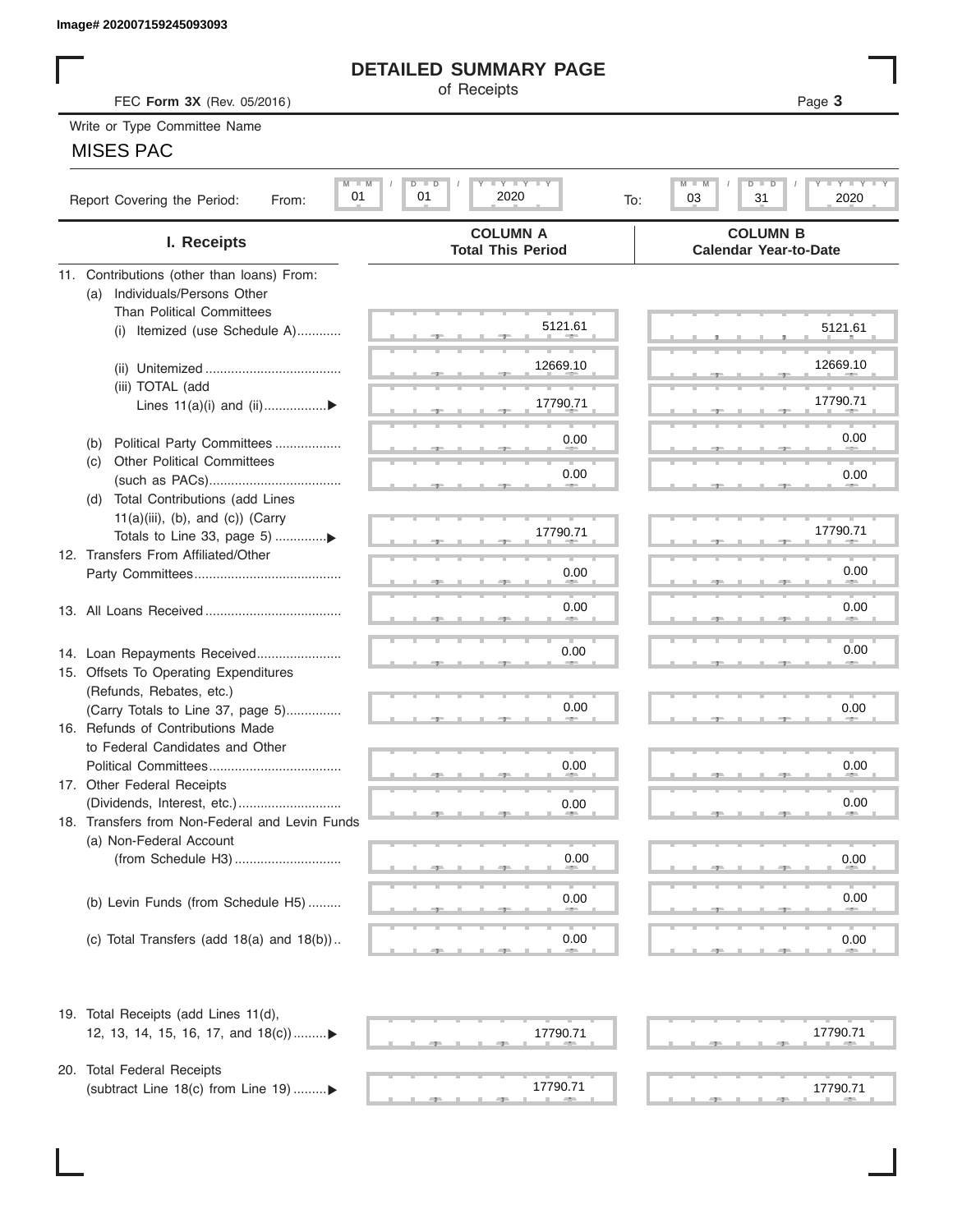# **DETAILED SUMMARY PAGE**

### MISES PAC

|                                                       | <b>DETAILED SUMMARY PAGE</b>                  |                                                             |
|-------------------------------------------------------|-----------------------------------------------|-------------------------------------------------------------|
| FEC Form 3X (Rev. 05/2016)                            | of Receipts                                   | Page 3                                                      |
| Write or Type Committee Name                          |                                               |                                                             |
| <b>MISES PAC</b>                                      |                                               |                                                             |
|                                                       |                                               |                                                             |
| $M$ $M$<br>01<br>Report Covering the Period:<br>From: | <b>LYLYLY</b><br>$D$ $D$<br>01<br>2020<br>To: | $T - Y$ $T - Y$ $T - Y$<br>M<br>$D$ $D$<br>03<br>31<br>2020 |
| I. Receipts                                           | <b>COLUMN A</b><br><b>Total This Period</b>   | <b>COLUMN B</b><br><b>Calendar Year-to-Date</b>             |
| 11. Contributions (other than loans) From:            |                                               |                                                             |
| Individuals/Persons Other<br>(a)                      |                                               |                                                             |
| <b>Than Political Committees</b>                      | 5121.61                                       | 5121.61                                                     |
| (i) Itemized (use Schedule A)                         |                                               |                                                             |
|                                                       | 12669.10                                      | 12669.10                                                    |
| (iii) TOTAL (add                                      |                                               |                                                             |
| Lines 11(a)(i) and (ii)▶                              | 17790.71                                      | 17790.71                                                    |
|                                                       |                                               |                                                             |
| Political Party Committees<br>(b)                     | 0.00                                          | 0.00                                                        |
| <b>Other Political Committees</b><br>(C)              | 0.00                                          | 0.00                                                        |
| Total Contributions (add Lines<br>(d)                 |                                               |                                                             |
| $11(a)(iii)$ , (b), and (c)) (Carry                   |                                               |                                                             |
| Totals to Line 33, page 5) ▶                          | 17790.71                                      | 17790.71                                                    |
| 12. Transfers From Affiliated/Other                   |                                               |                                                             |
|                                                       | 0.00                                          | 0.00                                                        |
|                                                       | 0.00                                          | 0.00                                                        |
|                                                       |                                               |                                                             |
| 14. Loan Repayments Received                          | 0.00                                          | 0.00                                                        |
| 15. Offsets To Operating Expenditures                 |                                               |                                                             |
| (Refunds, Rebates, etc.)                              |                                               |                                                             |
| (Carry Totals to Line 37, page 5)                     | 0.00                                          | 0.00                                                        |
| 16. Refunds of Contributions Made                     |                                               |                                                             |
| to Federal Candidates and Other                       |                                               |                                                             |
| Political Committees<br>17. Other Federal Receipts    | 0.00                                          | 0.00                                                        |
|                                                       | 0.00                                          | 0.00                                                        |
| 18. Transfers from Non-Federal and Levin Funds        |                                               |                                                             |
| (a) Non-Federal Account                               |                                               |                                                             |
|                                                       | 0.00                                          | 0.00                                                        |
|                                                       |                                               |                                                             |
| (b) Levin Funds (from Schedule H5)                    | 0.00                                          | 0.00                                                        |
|                                                       |                                               |                                                             |
| (c) Total Transfers (add $18(a)$ and $18(b)$ )        | 0.00                                          | 0.00                                                        |
| 19. Total Receipts (add Lines 11(d),                  |                                               |                                                             |
| 12, 13, 14, 15, 16, 17, and 18(c))                    | 17790.71                                      | 17790.71                                                    |
| 20. Total Federal Receipts                            |                                               |                                                             |
| (subtract Line 18(c) from Line 19) ▶                  | 17790.71                                      | 17790.71                                                    |
|                                                       |                                               |                                                             |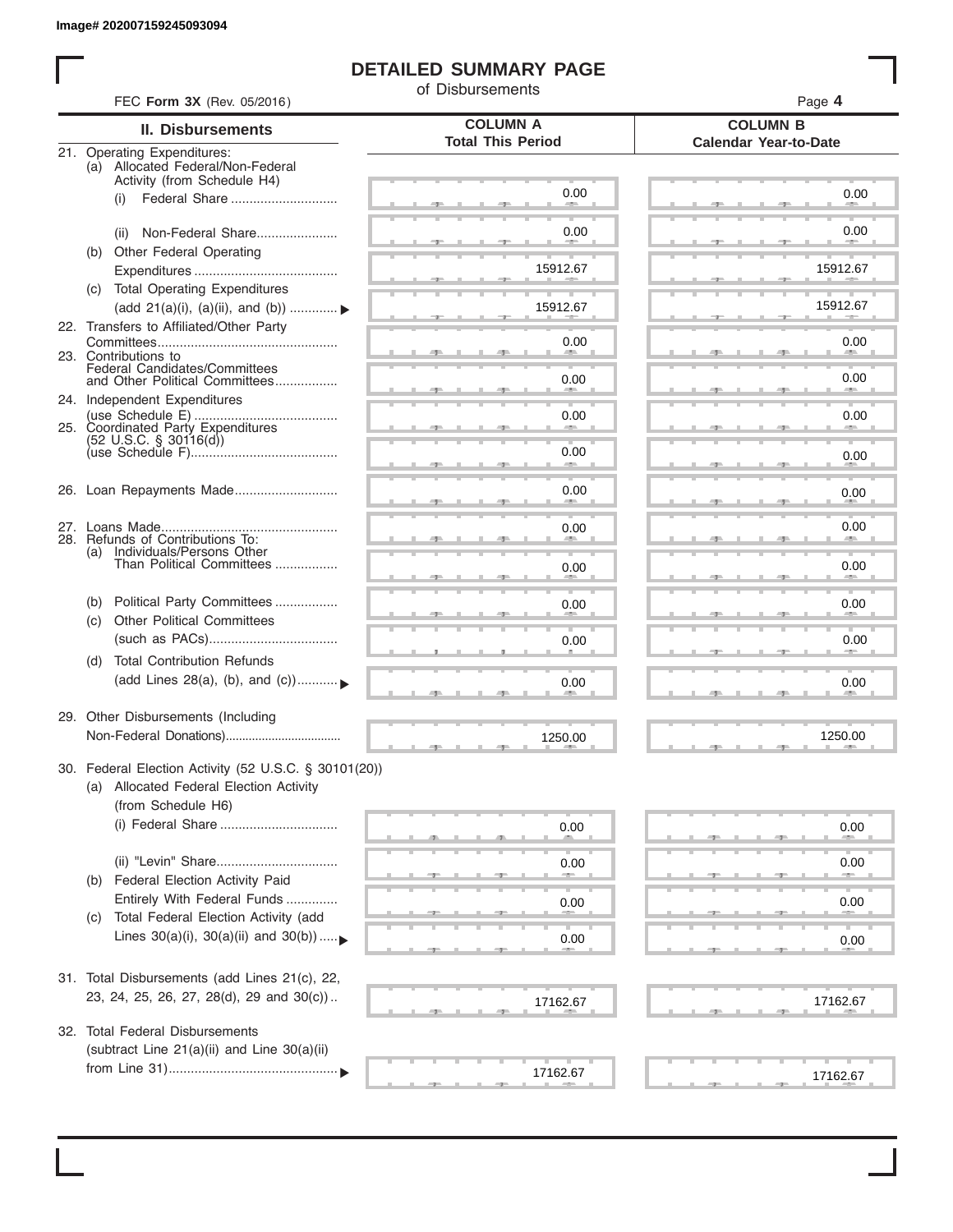I

# **DETAILED SUMMARY PAGE**

of Disbursements

| <b>II. Disbursements</b>                                                                                               | <b>COLUMN A</b>          | <b>COLUMN B</b>                          |
|------------------------------------------------------------------------------------------------------------------------|--------------------------|------------------------------------------|
|                                                                                                                        | <b>Total This Period</b> | <b>Calendar Year-to-Date</b>             |
| 21. Operating Expenditures:<br>(a) Allocated Federal/Non-Federal<br>Activity (from Schedule H4)                        |                          |                                          |
| Federal Share<br>(i)                                                                                                   | 0.00                     | 0.00                                     |
| Non-Federal Share<br>(ii)                                                                                              | 0.00                     | 0.00                                     |
| Other Federal Operating<br>(b)                                                                                         | 15912.67                 | 15912.67                                 |
| (c) Total Operating Expenditures<br>(add 21(a)(i), (a)(ii), and (b))                                                   | 15912.67                 | 15912.67                                 |
| 22. Transfers to Affiliated/Other Party                                                                                | 0.00                     | 0.00                                     |
| 23. Contributions to<br>Federal Candidates/Committees<br>and Other Political Committees                                | 0.00                     | <b>All Andrew</b><br>0.00<br><b>AREA</b> |
| 24. Independent Expenditures                                                                                           | 0.00                     | 0.00                                     |
| 25. Coordinated Party Expenditures<br>$(52 \text{ U.S.C. }$ § 30116(d))                                                | 0.00                     |                                          |
|                                                                                                                        |                          | 0.00                                     |
| 26. Loan Repayments Made                                                                                               | 0.00                     | 0.00                                     |
| 28. Refunds of Contributions To:<br>(a) Individuals/Persons Other                                                      | 0.00                     | 0.00                                     |
| Than Political Committees                                                                                              | 0.00                     | 0.00                                     |
| Political Party Committees<br>(b)<br><b>Other Political Committees</b><br>(C)                                          | 0.00                     | 0.00                                     |
|                                                                                                                        | 0.00                     | 0.00                                     |
| <b>Total Contribution Refunds</b><br>(d)<br>(add Lines 28(a), (b), and (c))                                            | 0.00                     | 0.00                                     |
| 29. Other Disbursements (Including                                                                                     | 1250.00                  | 1250.00                                  |
| 30. Federal Election Activity (52 U.S.C. § 30101(20))<br>(a) Allocated Federal Election Activity<br>(from Schedule H6) |                          |                                          |
| (i) Federal Share                                                                                                      | 0.00                     | 0.00                                     |
| Federal Election Activity Paid<br>(b)                                                                                  | 0.00                     | 0.00                                     |
| Entirely With Federal Funds                                                                                            | 0.00                     | 0.00                                     |
| Total Federal Election Activity (add<br>(C)<br>Lines $30(a)(i)$ , $30(a)(ii)$ and $30(b))$                             | 0.00                     | 0.00                                     |
| 31. Total Disbursements (add Lines 21(c), 22,                                                                          |                          |                                          |
| 23, 24, 25, 26, 27, 28(d), 29 and 30(c))                                                                               | 17162.67                 | 17162.67                                 |
| 32. Total Federal Disbursements<br>(subtract Line 21(a)(ii) and Line 30(a)(ii)                                         |                          |                                          |
|                                                                                                                        | 17162.67                 | 17162.67                                 |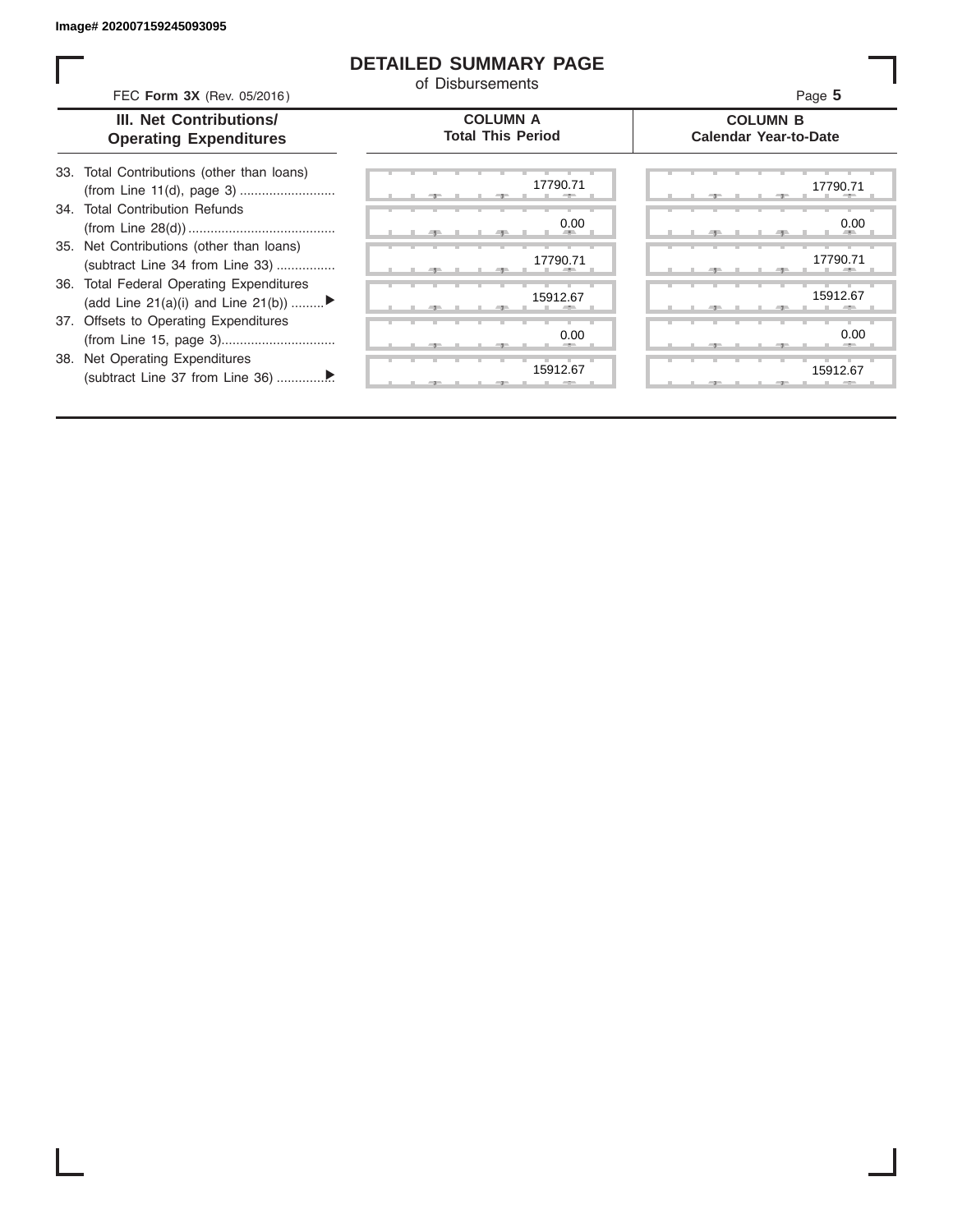ı

### **DETAILED SUMMARY PAGE**

of Disbursements

| FEC Form 3X (Rev. 05/2016)                                                     | u Dishingingi                               | Page 5                                          |
|--------------------------------------------------------------------------------|---------------------------------------------|-------------------------------------------------|
| III. Net Contributions/<br><b>Operating Expenditures</b>                       | <b>COLUMN A</b><br><b>Total This Period</b> | <b>COLUMN B</b><br><b>Calendar Year-to-Date</b> |
| 33. Total Contributions (other than loans)                                     | 17790.71                                    | 17790.71                                        |
| 34. Total Contribution Refunds                                                 | 0.00                                        | 0.00                                            |
| 35. Net Contributions (other than loans)<br>(subtract Line 34 from Line 33)    | 17790.71                                    | 17790.71                                        |
| 36. Total Federal Operating Expenditures<br>(add Line 21(a)(i) and Line 21(b)) | 15912.67                                    | 15912.67                                        |
| 37. Offsets to Operating Expenditures                                          | 0.00                                        | 0.00                                            |
| 38. Net Operating Expenditures                                                 | 15912.67<br>$-7-$                           | 15912.67                                        |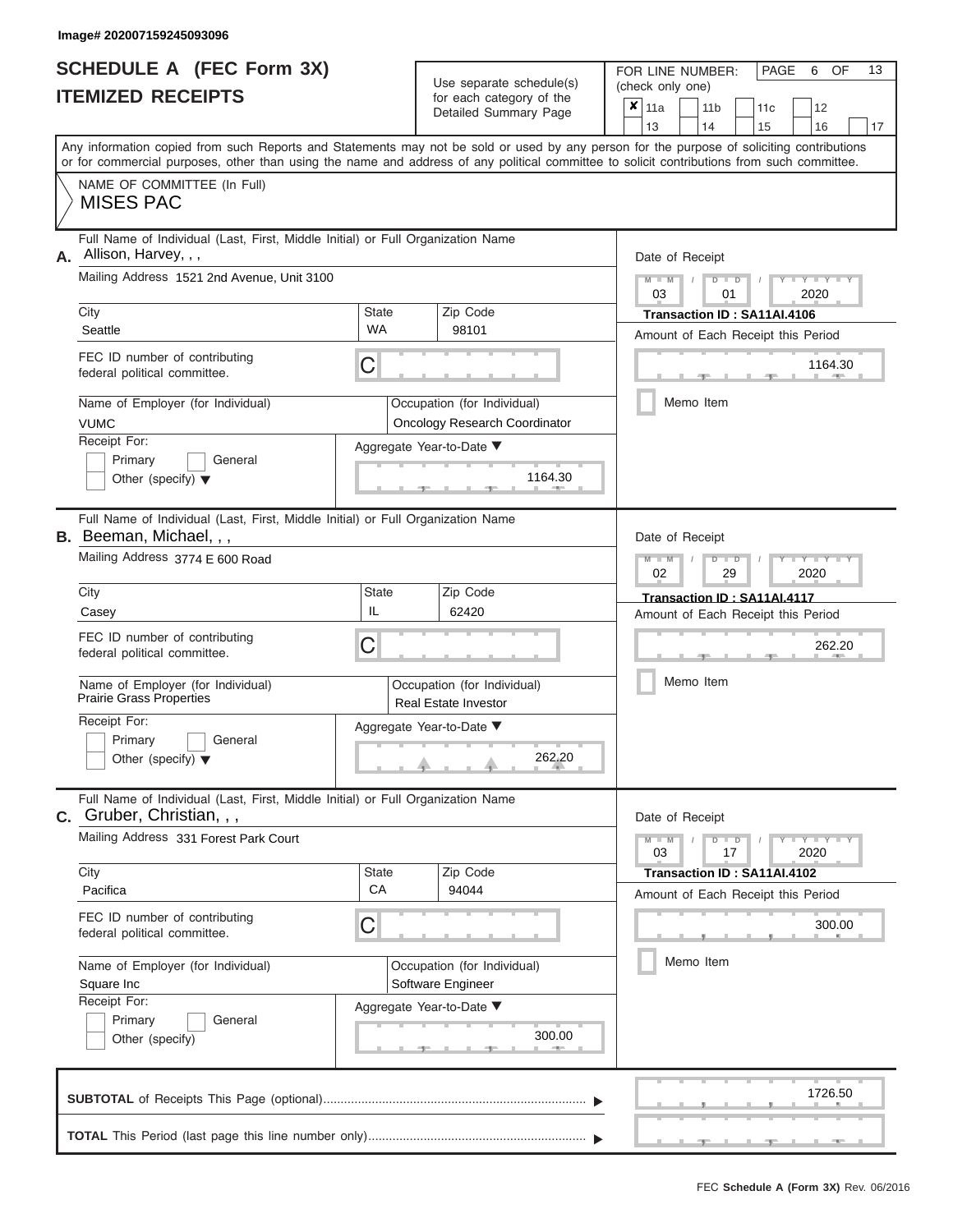|                          | <b>SCHEDULE A (FEC Form 3X)</b> |
|--------------------------|---------------------------------|
| <b>ITEMIZED RECEIPTS</b> |                                 |

Use separate schedule(s)<br>for each category of the

FOR LINE NUMBER:<br>(check only one)

PAGE 6 OF 13

|                                                                                                                                                                                                                                                                                         |             | babii balogoiy<br>Detailed Summary Page                             | x                           | 11a             |  | 11 <sub>b</sub> |    | 11c                         | 12                                 |    |  |  |
|-----------------------------------------------------------------------------------------------------------------------------------------------------------------------------------------------------------------------------------------------------------------------------------------|-------------|---------------------------------------------------------------------|-----------------------------|-----------------|--|-----------------|----|-----------------------------|------------------------------------|----|--|--|
|                                                                                                                                                                                                                                                                                         |             |                                                                     |                             | 13              |  | 14              |    | 15                          | 16                                 | 17 |  |  |
| Any information copied from such Reports and Statements may not be sold or used by any person for the purpose of soliciting contributions<br>or for commercial purposes, other than using the name and address of any political committee to solicit contributions from such committee. |             |                                                                     |                             |                 |  |                 |    |                             |                                    |    |  |  |
| NAME OF COMMITTEE (In Full)                                                                                                                                                                                                                                                             |             |                                                                     |                             |                 |  |                 |    |                             |                                    |    |  |  |
| <b>MISES PAC</b>                                                                                                                                                                                                                                                                        |             |                                                                     |                             |                 |  |                 |    |                             |                                    |    |  |  |
| Full Name of Individual (Last, First, Middle Initial) or Full Organization Name<br>Allison, Harvey, , ,<br>А.                                                                                                                                                                           |             |                                                                     |                             | Date of Receipt |  |                 |    |                             |                                    |    |  |  |
| Mailing Address 1521 2nd Avenue, Unit 3100                                                                                                                                                                                                                                              |             |                                                                     |                             | $M - M$<br>03   |  | $D$ $D$         | 01 |                             | 2020                               |    |  |  |
| City                                                                                                                                                                                                                                                                                    | State       | Zip Code                                                            | Transaction ID: SA11AI.4106 |                 |  |                 |    |                             |                                    |    |  |  |
| Seattle                                                                                                                                                                                                                                                                                 | <b>WA</b>   | 98101                                                               |                             |                 |  |                 |    |                             | Amount of Each Receipt this Period |    |  |  |
| FEC ID number of contributing<br>federal political committee.                                                                                                                                                                                                                           | С           |                                                                     |                             |                 |  |                 |    |                             | 1164.30                            |    |  |  |
| Name of Employer (for Individual)<br><b>VUMC</b>                                                                                                                                                                                                                                        |             | Occupation (for Individual)<br><b>Oncology Research Coordinator</b> |                             |                 |  | Memo Item       |    |                             |                                    |    |  |  |
| Receipt For:                                                                                                                                                                                                                                                                            |             | Aggregate Year-to-Date ▼                                            |                             |                 |  |                 |    |                             |                                    |    |  |  |
| Primary<br>General<br>Other (specify) $\blacktriangledown$                                                                                                                                                                                                                              |             | 1164.30                                                             |                             |                 |  |                 |    |                             |                                    |    |  |  |
| Full Name of Individual (Last, First, Middle Initial) or Full Organization Name<br><b>B.</b> Beeman, Michael,,,                                                                                                                                                                         |             |                                                                     |                             | Date of Receipt |  |                 |    |                             |                                    |    |  |  |
| Mailing Address 3774 E 600 Road                                                                                                                                                                                                                                                         |             |                                                                     |                             | $M - M$<br>02   |  | $D$ $D$         | 29 |                             | $Y = Y - I$<br>2020                |    |  |  |
| City                                                                                                                                                                                                                                                                                    | State       | Zip Code                                                            |                             |                 |  |                 |    | Transaction ID: SA11AI.4117 |                                    |    |  |  |
| Casey                                                                                                                                                                                                                                                                                   | IL          | 62420                                                               |                             |                 |  |                 |    |                             | Amount of Each Receipt this Period |    |  |  |
| FEC ID number of contributing<br>federal political committee.                                                                                                                                                                                                                           | С           |                                                                     |                             |                 |  |                 |    |                             | 262.20                             |    |  |  |
| Name of Employer (for Individual)<br><b>Prairie Grass Properties</b>                                                                                                                                                                                                                    |             | Occupation (for Individual)<br>Real Estate Investor                 |                             |                 |  | Memo Item       |    |                             |                                    |    |  |  |
| Receipt For:                                                                                                                                                                                                                                                                            |             | Aggregate Year-to-Date ▼                                            |                             |                 |  |                 |    |                             |                                    |    |  |  |
| Primary<br>General<br>Other (specify) $\blacktriangledown$                                                                                                                                                                                                                              |             | 262.20                                                              |                             |                 |  |                 |    |                             |                                    |    |  |  |
| Full Name of Individual (Last, First, Middle Initial) or Full Organization Name<br>$c.$ Gruber, Christian, , ,                                                                                                                                                                          |             |                                                                     |                             | Date of Receipt |  |                 |    |                             |                                    |    |  |  |
| Mailing Address 331 Forest Park Court                                                                                                                                                                                                                                                   |             |                                                                     |                             | $M - M$<br>03   |  | $D$ $D$         | 17 |                             | $Y - Y - Y - Y + Y$<br>2020        |    |  |  |
| City<br>Pacifica                                                                                                                                                                                                                                                                        | State<br>CA | Zip Code<br>94044                                                   |                             |                 |  |                 |    | Transaction ID: SA11AI.4102 |                                    |    |  |  |
|                                                                                                                                                                                                                                                                                         |             |                                                                     |                             |                 |  |                 |    |                             | Amount of Each Receipt this Period |    |  |  |
| FEC ID number of contributing<br>federal political committee.                                                                                                                                                                                                                           | С           |                                                                     |                             |                 |  |                 |    |                             | 300.00                             |    |  |  |
| Name of Employer (for Individual)                                                                                                                                                                                                                                                       |             | Occupation (for Individual)                                         |                             |                 |  | Memo Item       |    |                             |                                    |    |  |  |
| Square Inc                                                                                                                                                                                                                                                                              |             | Software Engineer                                                   |                             |                 |  |                 |    |                             |                                    |    |  |  |
| Receipt For:                                                                                                                                                                                                                                                                            |             | Aggregate Year-to-Date ▼                                            |                             |                 |  |                 |    |                             |                                    |    |  |  |
| Primary<br>General<br>Other (specify)                                                                                                                                                                                                                                                   |             | 300.00                                                              |                             |                 |  |                 |    |                             |                                    |    |  |  |
|                                                                                                                                                                                                                                                                                         |             |                                                                     |                             |                 |  |                 |    |                             | 1726.50                            |    |  |  |
|                                                                                                                                                                                                                                                                                         |             |                                                                     |                             |                 |  |                 |    |                             | $-1$                               |    |  |  |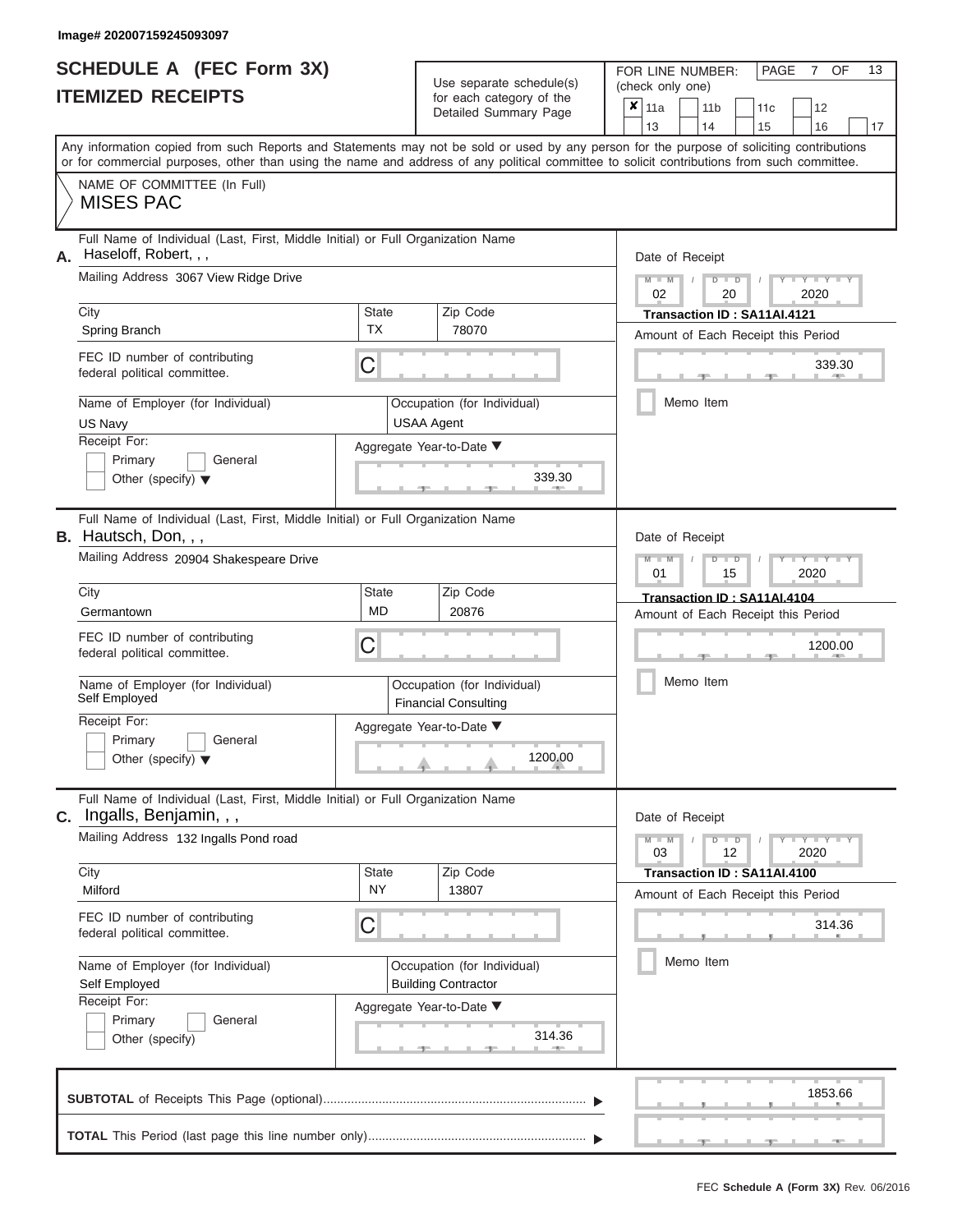|                          | <b>SCHEDULE A (FEC Form 3X)</b> |
|--------------------------|---------------------------------|
| <b>ITEMIZED RECEIPTS</b> |                                 |

Use separate schedule(s)<br>for each category of the

FOR LINE NUMBER:<br>(check only one)

PAGE 7 OF 13

| <b>ITEMIZED RECEIPTS</b>                                                                                                                                                                                                                                                                                                                                                                         | for each category of the<br>Detailed Summary Page                                                                                                                          | $\boldsymbol{x}$<br>11a<br>11 <sub>b</sub><br>11c<br>12<br>13<br>14<br>15<br>16<br>17                                                                                              |
|--------------------------------------------------------------------------------------------------------------------------------------------------------------------------------------------------------------------------------------------------------------------------------------------------------------------------------------------------------------------------------------------------|----------------------------------------------------------------------------------------------------------------------------------------------------------------------------|------------------------------------------------------------------------------------------------------------------------------------------------------------------------------------|
| Any information copied from such Reports and Statements may not be sold or used by any person for the purpose of soliciting contributions<br>or for commercial purposes, other than using the name and address of any political committee to solicit contributions from such committee.                                                                                                          |                                                                                                                                                                            |                                                                                                                                                                                    |
| NAME OF COMMITTEE (In Full)<br><b>MISES PAC</b>                                                                                                                                                                                                                                                                                                                                                  |                                                                                                                                                                            |                                                                                                                                                                                    |
| Full Name of Individual (Last, First, Middle Initial) or Full Organization Name<br>Haseloff, Robert, , ,<br>А.<br>Mailing Address 3067 View Ridge Drive<br>City<br>Spring Branch<br>FEC ID number of contributing<br>federal political committee.                                                                                                                                                | Zip Code<br><b>State</b><br><b>TX</b><br>78070<br>С                                                                                                                        | Date of Receipt<br>$M - M$<br>$D$ $D$<br>$T - Y = Y$<br>02<br>20<br>2020<br>Transaction ID: SA11AI.4121<br>Amount of Each Receipt this Period<br>339.30                            |
| Name of Employer (for Individual)<br>US Navy<br>Receipt For:<br>Primary<br>General<br>Other (specify) $\blacktriangledown$                                                                                                                                                                                                                                                                       | Occupation (for Individual)<br><b>USAA Agent</b><br>Aggregate Year-to-Date ▼<br>339.30                                                                                     | Memo Item                                                                                                                                                                          |
| Full Name of Individual (Last, First, Middle Initial) or Full Organization Name<br><b>B.</b> Hautsch, Don, , ,<br>Mailing Address 20904 Shakespeare Drive<br>City<br>Germantown<br>FEC ID number of contributing<br>federal political committee.<br>Name of Employer (for Individual)<br>Self Employed<br>Receipt For:<br>Primary<br>General                                                     | Zip Code<br>State<br><b>MD</b><br>20876<br>С<br>Occupation (for Individual)<br><b>Financial Consulting</b><br>Aggregate Year-to-Date ▼                                     | Date of Receipt<br>$T - Y = T - Y = T$<br>$M -$<br>$\blacksquare$<br>01<br>2020<br>15<br>Transaction ID: SA11AI.4104<br>Amount of Each Receipt this Period<br>1200.00<br>Memo Item |
| Other (specify) $\blacktriangledown$<br>Full Name of Individual (Last, First, Middle Initial) or Full Organization Name<br>C. Ingalls, Benjamin, , ,<br>Mailing Address 132 Ingalls Pond road<br>City<br>Milford<br>FEC ID number of contributing<br>federal political committee.<br>Name of Employer (for Individual)<br>Self Employed<br>Receipt For:<br>Primary<br>General<br>Other (specify) | 1200.00<br>Zip Code<br>State<br>NY<br>13807<br>С<br>Occupation (for Individual)<br><b>Building Contractor</b><br>Aggregate Year-to-Date ▼<br>314.36<br><b>STEP</b><br>$-1$ | Date of Receipt<br>$M - M$<br>$D$ $D$<br>$Y - Y - I$<br>03<br>12<br>2020<br>Transaction ID: SA11AI.4100<br>Amount of Each Receipt this Period<br>314.36<br>Memo Item               |
|                                                                                                                                                                                                                                                                                                                                                                                                  |                                                                                                                                                                            | 1853.66<br>$-1$                                                                                                                                                                    |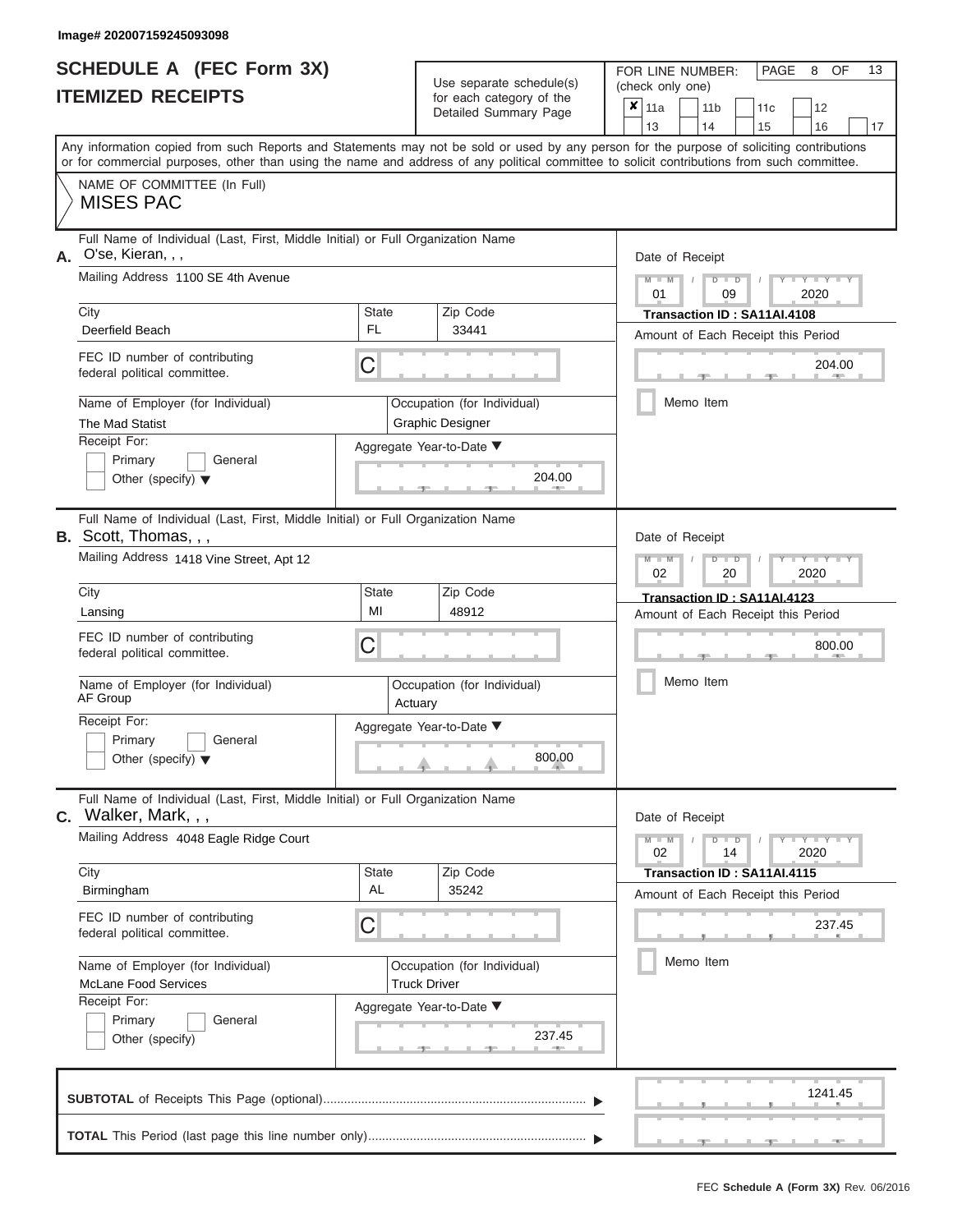|                          | <b>SCHEDULE A (FEC Form 3X)</b> |
|--------------------------|---------------------------------|
| <b>ITEMIZED RECEIPTS</b> |                                 |

Use separate schedule(s) (check only one)<br>for each category of the  $\begin{array}{|c|c|c|c|c|}\n\hline\n\text{Initial Summary goes} & & \text{with } & \text{with } & \text{with } & \text{with } & \text{with } & \text{with } & \text{with } & \text{with } & \text{with } & \text{with } & \text{with } & \text{with } & \text{with } & \text{with } & \text{with } & \text{with } & \text{with } & \text{with } & \text{with } & \text{with } & \text$ 

FOR LINE NUMBER:

 $\overline{\phantom{0}}$ 

PAGE 8 OF 13

 $\overline{\phantom{0}}$ 

|                                                 |                                                                                                                                                                                                                                                                                         |                                                    | Detailed Summary Page                                  |                 | $x_{\parallel 11a}$<br>13                         |           | 11 <sub>b</sub><br>14              |                                         | 11c<br>15                          |      | 12<br>16         | 17 |  |  |  |
|-------------------------------------------------|-----------------------------------------------------------------------------------------------------------------------------------------------------------------------------------------------------------------------------------------------------------------------------------------|----------------------------------------------------|--------------------------------------------------------|-----------------|---------------------------------------------------|-----------|------------------------------------|-----------------------------------------|------------------------------------|------|------------------|----|--|--|--|
|                                                 | Any information copied from such Reports and Statements may not be sold or used by any person for the purpose of soliciting contributions<br>or for commercial purposes, other than using the name and address of any political committee to solicit contributions from such committee. |                                                    |                                                        |                 |                                                   |           |                                    |                                         |                                    |      |                  |    |  |  |  |
|                                                 | NAME OF COMMITTEE (In Full)<br><b>MISES PAC</b>                                                                                                                                                                                                                                         |                                                    |                                                        |                 |                                                   |           |                                    |                                         |                                    |      |                  |    |  |  |  |
|                                                 | Full Name of Individual (Last, First, Middle Initial) or Full Organization Name<br>A. O'se, Kieran, , ,                                                                                                                                                                                 |                                                    |                                                        | Date of Receipt |                                                   |           |                                    |                                         |                                    |      |                  |    |  |  |  |
|                                                 | Mailing Address 1100 SE 4th Avenue                                                                                                                                                                                                                                                      |                                                    |                                                        |                 | $D$ $D$<br>2020<br>01<br>09                       |           |                                    |                                         |                                    |      |                  |    |  |  |  |
|                                                 | City<br>Deerfield Beach                                                                                                                                                                                                                                                                 | <b>State</b><br>FL                                 | Zip Code                                               |                 |                                                   |           |                                    |                                         | Transaction ID: SA11AI.4108        |      |                  |    |  |  |  |
|                                                 |                                                                                                                                                                                                                                                                                         |                                                    | 33441                                                  |                 |                                                   |           |                                    |                                         | Amount of Each Receipt this Period |      |                  |    |  |  |  |
|                                                 | FEC ID number of contributing<br>federal political committee.                                                                                                                                                                                                                           | С                                                  |                                                        |                 |                                                   |           |                                    |                                         |                                    |      | 204.00           |    |  |  |  |
|                                                 | Name of Employer (for Individual)<br>The Mad Statist                                                                                                                                                                                                                                    |                                                    | Occupation (for Individual)<br><b>Graphic Designer</b> |                 |                                                   | Memo Item |                                    |                                         |                                    |      |                  |    |  |  |  |
|                                                 | Receipt For:                                                                                                                                                                                                                                                                            |                                                    | Aggregate Year-to-Date ▼                               |                 |                                                   |           |                                    |                                         |                                    |      |                  |    |  |  |  |
|                                                 | Primary<br>General<br>Other (specify) $\blacktriangledown$                                                                                                                                                                                                                              |                                                    | 204.00                                                 |                 |                                                   |           |                                    |                                         |                                    |      |                  |    |  |  |  |
|                                                 | Full Name of Individual (Last, First, Middle Initial) or Full Organization Name<br><b>B.</b> Scott, Thomas, , ,                                                                                                                                                                         |                                                    |                                                        |                 | Date of Receipt                                   |           |                                    |                                         |                                    |      |                  |    |  |  |  |
|                                                 | Mailing Address 1418 Vine Street, Apt 12                                                                                                                                                                                                                                                |                                                    |                                                        |                 | $Y - Y$<br>$M - M$<br>$D$ $D$<br>2020<br>02<br>20 |           |                                    |                                         |                                    |      |                  |    |  |  |  |
|                                                 | City                                                                                                                                                                                                                                                                                    | <b>State</b><br>Zip Code                           |                                                        |                 |                                                   |           | Transaction ID: SA11AI.4123        |                                         |                                    |      |                  |    |  |  |  |
|                                                 | Lansing                                                                                                                                                                                                                                                                                 | MI<br>48912                                        |                                                        |                 |                                                   |           | Amount of Each Receipt this Period |                                         |                                    |      |                  |    |  |  |  |
|                                                 | FEC ID number of contributing<br>federal political committee.                                                                                                                                                                                                                           | С                                                  |                                                        |                 |                                                   |           |                                    |                                         |                                    |      | 800.00           |    |  |  |  |
|                                                 | Name of Employer (for Individual)<br>AF Group                                                                                                                                                                                                                                           | Actuary                                            | Occupation (for Individual)                            |                 | Memo Item                                         |           |                                    |                                         |                                    |      |                  |    |  |  |  |
|                                                 | Receipt For:                                                                                                                                                                                                                                                                            |                                                    | Aggregate Year-to-Date ▼                               |                 |                                                   |           |                                    |                                         |                                    |      |                  |    |  |  |  |
|                                                 | Primary<br>General<br>Other (specify) $\blacktriangledown$                                                                                                                                                                                                                              |                                                    | 800.00                                                 |                 |                                                   |           |                                    |                                         |                                    |      |                  |    |  |  |  |
|                                                 | Full Name of Individual (Last, First, Middle Initial) or Full Organization Name                                                                                                                                                                                                         |                                                    |                                                        |                 |                                                   |           |                                    |                                         |                                    |      |                  |    |  |  |  |
|                                                 | C. Walker, Mark, , ,<br>Mailing Address 4048 Eagle Ridge Court                                                                                                                                                                                                                          |                                                    |                                                        |                 | Date of Receipt<br>$M - M$<br>02                  |           |                                    | $\overline{\mathsf{D}}$<br>$\Box$<br>14 |                                    | 2020 | $-Y - Y - Y - Y$ |    |  |  |  |
|                                                 | City                                                                                                                                                                                                                                                                                    | <b>State</b>                                       | Zip Code                                               |                 |                                                   |           |                                    |                                         | Transaction ID: SA11AI.4115        |      |                  |    |  |  |  |
|                                                 | Birmingham                                                                                                                                                                                                                                                                              | AL                                                 | 35242                                                  |                 |                                                   |           |                                    |                                         | Amount of Each Receipt this Period |      |                  |    |  |  |  |
|                                                 | FEC ID number of contributing<br>C<br>federal political committee.                                                                                                                                                                                                                      |                                                    |                                                        |                 |                                                   |           | 237.45                             |                                         |                                    |      |                  |    |  |  |  |
|                                                 | Name of Employer (for Individual)<br><b>McLane Food Services</b>                                                                                                                                                                                                                        | Occupation (for Individual)<br><b>Truck Driver</b> |                                                        |                 |                                                   |           | Memo Item                          |                                         |                                    |      |                  |    |  |  |  |
|                                                 | Receipt For:                                                                                                                                                                                                                                                                            | Aggregate Year-to-Date ▼                           |                                                        |                 |                                                   |           |                                    |                                         |                                    |      |                  |    |  |  |  |
| Primary<br>General<br>237.45<br>Other (specify) |                                                                                                                                                                                                                                                                                         |                                                    |                                                        |                 |                                                   |           |                                    |                                         |                                    |      |                  |    |  |  |  |
|                                                 |                                                                                                                                                                                                                                                                                         |                                                    |                                                        |                 |                                                   |           |                                    |                                         |                                    |      | 1241.45          |    |  |  |  |
|                                                 |                                                                                                                                                                                                                                                                                         |                                                    |                                                        |                 |                                                   |           |                                    |                                         |                                    |      |                  |    |  |  |  |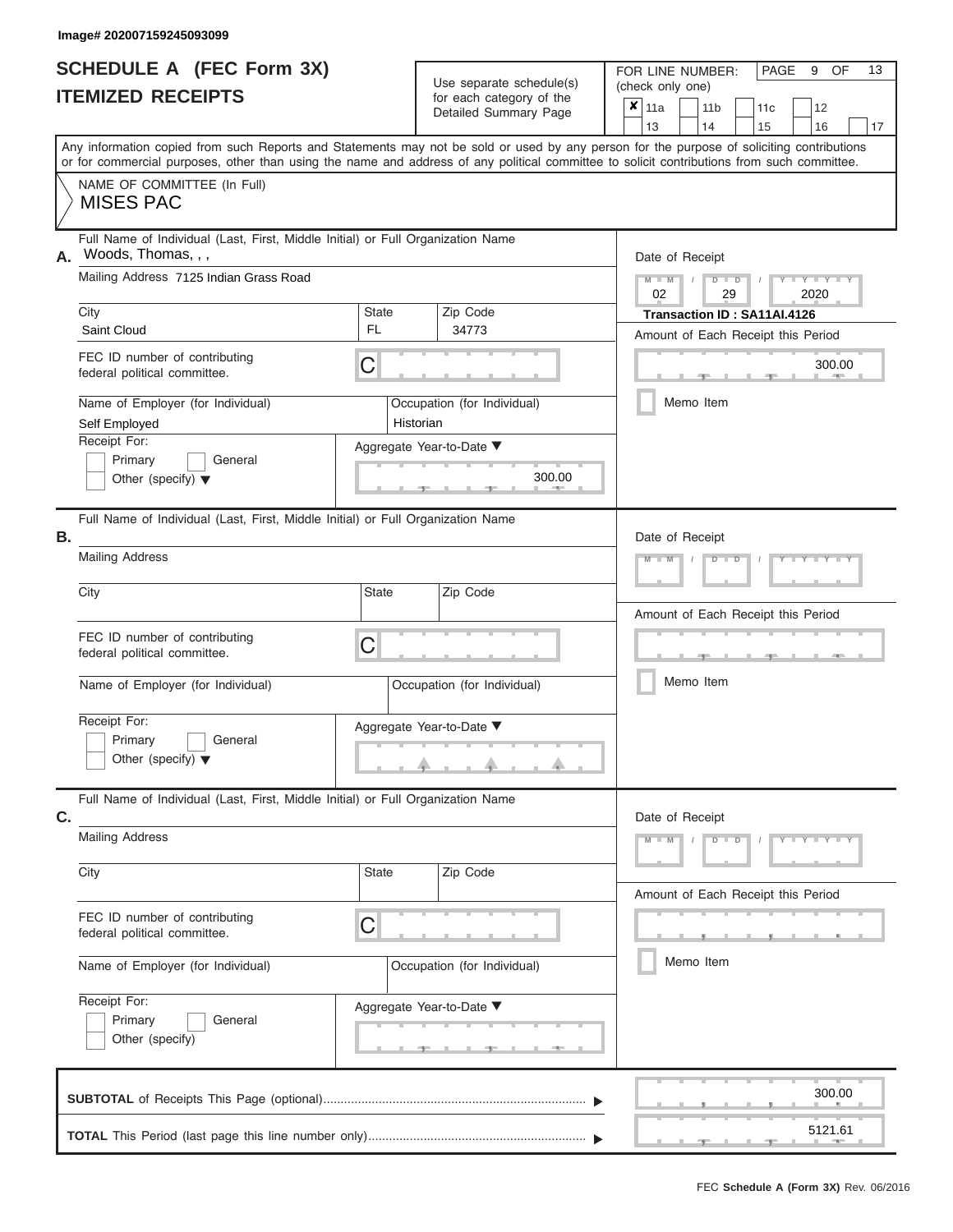#### **Image# 202007159245093099**

| <b>SCHEDULE A (FEC Form 3X)</b> |  |
|---------------------------------|--|
| <b>ITEMIZED RECEIPTS</b>        |  |

Use separate schedule(s)<br>for each category of the

FOR LINE NUMBER: PAGE<br>
(check only one)

9 OF 13

|    | IILMILLU I\LVLII IV                                                                                                                                                                                                                                                                     |                                    | ivi cavii valcyviy vi liic<br>Detailed Summary Page     | ×                     | 11a<br>13                                                         |           | 14        | 11 <sub>b</sub>                        | 11c      | 12                                 |         |    |  |  |  |  |  |  |
|----|-----------------------------------------------------------------------------------------------------------------------------------------------------------------------------------------------------------------------------------------------------------------------------------------|------------------------------------|---------------------------------------------------------|-----------------------|-------------------------------------------------------------------|-----------|-----------|----------------------------------------|----------|------------------------------------|---------|----|--|--|--|--|--|--|
|    | Any information copied from such Reports and Statements may not be sold or used by any person for the purpose of soliciting contributions<br>or for commercial purposes, other than using the name and address of any political committee to solicit contributions from such committee. |                                    |                                                         |                       |                                                                   |           |           |                                        | 15       | 16                                 |         | 17 |  |  |  |  |  |  |
|    | NAME OF COMMITTEE (In Full)<br><b>MISES PAC</b>                                                                                                                                                                                                                                         |                                    |                                                         |                       |                                                                   |           |           |                                        |          |                                    |         |    |  |  |  |  |  |  |
| А. | Full Name of Individual (Last, First, Middle Initial) or Full Organization Name<br>Woods, Thomas, , ,                                                                                                                                                                                   |                                    |                                                         |                       | Date of Receipt                                                   |           |           |                                        |          |                                    |         |    |  |  |  |  |  |  |
|    | Mailing Address 7125 Indian Grass Road                                                                                                                                                                                                                                                  |                                    |                                                         |                       |                                                                   |           |           | $M - M$<br>$D$ $D$<br>02<br>29<br>2020 |          |                                    |         |    |  |  |  |  |  |  |
|    | City<br><b>FL</b><br>Saint Cloud                                                                                                                                                                                                                                                        | State                              | Zip Code<br>34773                                       |                       | Transaction ID: SA11AI.4126<br>Amount of Each Receipt this Period |           |           |                                        |          |                                    |         |    |  |  |  |  |  |  |
|    | FEC ID number of contributing<br>C<br>federal political committee.                                                                                                                                                                                                                      |                                    |                                                         | 300.00<br><b>AREA</b> |                                                                   |           |           |                                        |          |                                    |         |    |  |  |  |  |  |  |
|    | Name of Employer (for Individual)<br>Self Employed                                                                                                                                                                                                                                      | Historian                          | Occupation (for Individual)                             |                       |                                                                   | Memo Item |           |                                        |          |                                    |         |    |  |  |  |  |  |  |
|    | Receipt For:<br>Primary<br>General<br>Other (specify) $\blacktriangledown$                                                                                                                                                                                                              |                                    | Aggregate Year-to-Date ▼<br>300.00                      |                       |                                                                   |           |           |                                        |          |                                    |         |    |  |  |  |  |  |  |
| В. | Full Name of Individual (Last, First, Middle Initial) or Full Organization Name<br><b>Mailing Address</b>                                                                                                                                                                               |                                    |                                                         |                       | Date of Receipt<br>$M - 1$<br>$\overline{\mathsf{D}}$             |           |           |                                        |          |                                    |         |    |  |  |  |  |  |  |
|    | <b>State</b><br>City                                                                                                                                                                                                                                                                    | Amount of Each Receipt this Period |                                                         |                       |                                                                   |           |           |                                        |          |                                    |         |    |  |  |  |  |  |  |
|    | FEC ID number of contributing<br>federal political committee.                                                                                                                                                                                                                           | C                                  |                                                         |                       |                                                                   |           | Memo Item |                                        |          |                                    |         |    |  |  |  |  |  |  |
|    | Name of Employer (for Individual)<br>Receipt For:<br>Primary<br>General<br>Other (specify) $\blacktriangledown$                                                                                                                                                                         |                                    | Occupation (for Individual)<br>Aggregate Year-to-Date ▼ |                       |                                                                   |           |           |                                        |          |                                    |         |    |  |  |  |  |  |  |
| С. | Full Name of Individual (Last, First, Middle Initial) or Full Organization Name                                                                                                                                                                                                         |                                    |                                                         |                       | Date of Receipt                                                   |           |           |                                        |          |                                    |         |    |  |  |  |  |  |  |
|    | <b>Mailing Address</b>                                                                                                                                                                                                                                                                  |                                    |                                                         |                       | $M - M$                                                           |           |           | $D$ $D$                                | $\prime$ | $Y - Y - Y - Y - Y$                |         |    |  |  |  |  |  |  |
|    | City                                                                                                                                                                                                                                                                                    | <b>State</b>                       | Zip Code                                                |                       |                                                                   |           |           |                                        |          | Amount of Each Receipt this Period |         |    |  |  |  |  |  |  |
|    | FEC ID number of contributing<br>C<br>federal political committee.                                                                                                                                                                                                                      |                                    |                                                         |                       |                                                                   |           |           |                                        |          |                                    |         |    |  |  |  |  |  |  |
|    | Name of Employer (for Individual)                                                                                                                                                                                                                                                       | Memo Item                          |                                                         |                       |                                                                   |           |           |                                        |          |                                    |         |    |  |  |  |  |  |  |
|    | Receipt For:<br>Primary<br>General<br>Other (specify)                                                                                                                                                                                                                                   |                                    | Aggregate Year-to-Date ▼                                |                       |                                                                   |           |           |                                        |          |                                    |         |    |  |  |  |  |  |  |
|    |                                                                                                                                                                                                                                                                                         |                                    |                                                         |                       |                                                                   |           |           |                                        |          |                                    | 300.00  |    |  |  |  |  |  |  |
|    |                                                                                                                                                                                                                                                                                         |                                    |                                                         |                       |                                                                   |           |           |                                        |          |                                    | 5121.61 |    |  |  |  |  |  |  |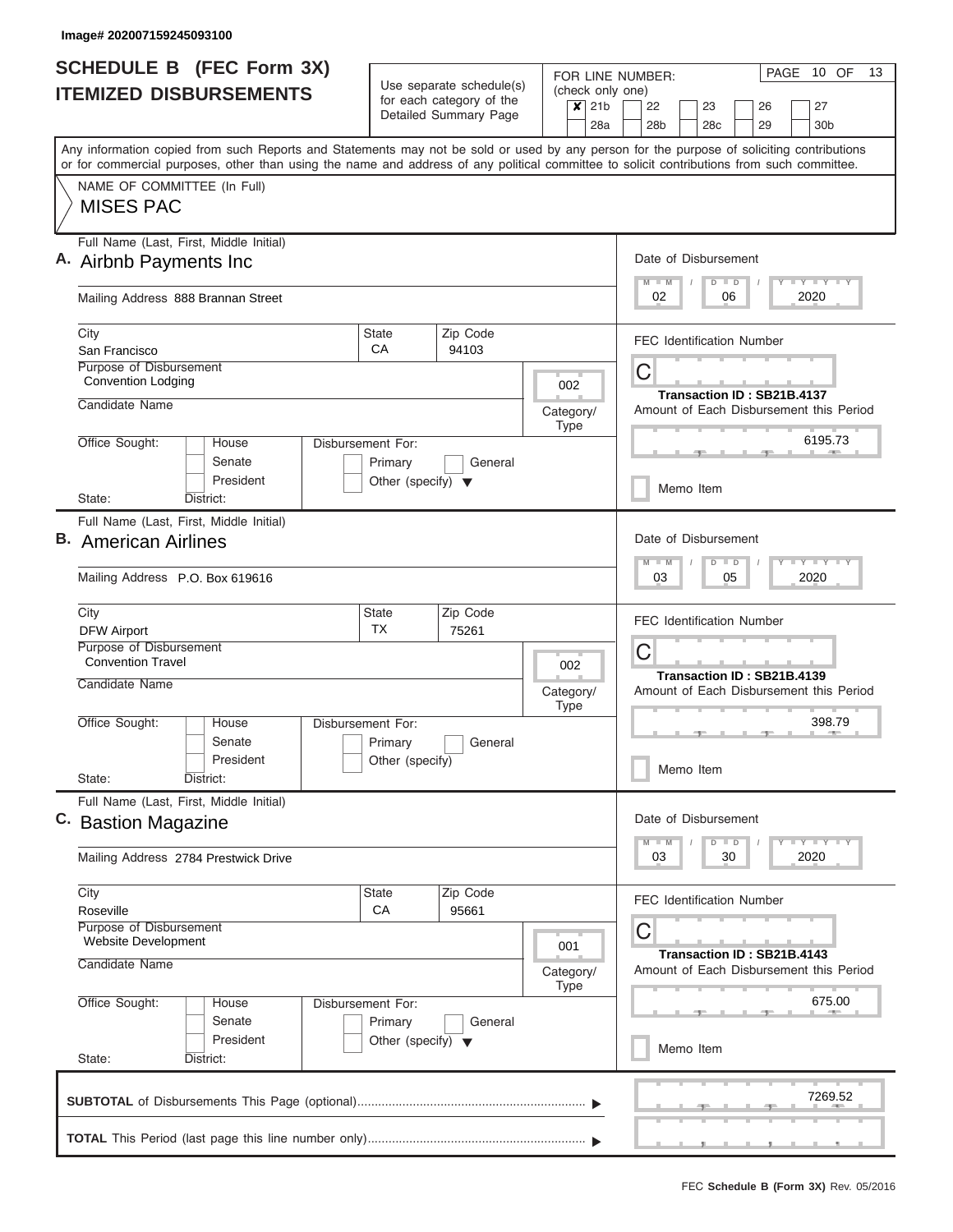| <b>SCHEDULE B (FEC Form 3X)</b>                                                                                                                                                                                                                                                         |                                                 | Use separate schedule(s)                          |                                                                         | PAGE<br>10 OF<br>13<br>FOR LINE NUMBER:                                         |  |  |  |  |  |  |  |
|-----------------------------------------------------------------------------------------------------------------------------------------------------------------------------------------------------------------------------------------------------------------------------------------|-------------------------------------------------|---------------------------------------------------|-------------------------------------------------------------------------|---------------------------------------------------------------------------------|--|--|--|--|--|--|--|
| <b>ITEMIZED DISBURSEMENTS</b>                                                                                                                                                                                                                                                           |                                                 | for each category of the<br>Detailed Summary Page | (check only one)<br>21 <sub>b</sub><br>$\boldsymbol{\mathsf{x}}$<br>28a | 22<br>23<br>27<br>26<br>28 <sub>b</sub><br>28c<br>29<br>30 <sub>b</sub>         |  |  |  |  |  |  |  |
| Any information copied from such Reports and Statements may not be sold or used by any person for the purpose of soliciting contributions<br>or for commercial purposes, other than using the name and address of any political committee to solicit contributions from such committee. |                                                 |                                                   |                                                                         |                                                                                 |  |  |  |  |  |  |  |
| NAME OF COMMITTEE (In Full)<br><b>MISES PAC</b>                                                                                                                                                                                                                                         |                                                 |                                                   |                                                                         |                                                                                 |  |  |  |  |  |  |  |
| Full Name (Last, First, Middle Initial)<br>A. Airbnb Payments Inc.                                                                                                                                                                                                                      |                                                 |                                                   |                                                                         | Date of Disbursement<br>Y I Y I Y I Y<br>$M - M$<br>$D$ $D$<br>2020<br>02<br>06 |  |  |  |  |  |  |  |
| Mailing Address 888 Brannan Street                                                                                                                                                                                                                                                      |                                                 |                                                   |                                                                         |                                                                                 |  |  |  |  |  |  |  |
| City<br>San Francisco                                                                                                                                                                                                                                                                   | <b>State</b><br>СA                              | Zip Code<br>94103                                 |                                                                         | <b>FEC Identification Number</b>                                                |  |  |  |  |  |  |  |
| Purpose of Disbursement<br><b>Convention Lodging</b><br>Candidate Name                                                                                                                                                                                                                  |                                                 |                                                   | 002                                                                     | C<br>Transaction ID: SB21B.4137                                                 |  |  |  |  |  |  |  |
| Office Sought:<br>House                                                                                                                                                                                                                                                                 | Disbursement For:                               |                                                   | Category/<br><b>Type</b>                                                | Amount of Each Disbursement this Period<br>6195.73                              |  |  |  |  |  |  |  |
| Senate<br>President                                                                                                                                                                                                                                                                     | Primary<br>Other (specify) $\blacktriangledown$ | General                                           |                                                                         | Memo Item                                                                       |  |  |  |  |  |  |  |
| State:<br>District:                                                                                                                                                                                                                                                                     |                                                 |                                                   |                                                                         |                                                                                 |  |  |  |  |  |  |  |
| Full Name (Last, First, Middle Initial)<br><b>B.</b> American Airlines                                                                                                                                                                                                                  |                                                 |                                                   |                                                                         | Date of Disbursement<br>Y FY FY FY<br>$M - M$<br>$D$ $D$                        |  |  |  |  |  |  |  |
| Mailing Address P.O. Box 619616                                                                                                                                                                                                                                                         |                                                 |                                                   |                                                                         | 2020<br>05<br>03                                                                |  |  |  |  |  |  |  |
| City<br><b>DFW Airport</b>                                                                                                                                                                                                                                                              | <b>State</b><br><b>TX</b>                       | Zip Code<br>75261                                 |                                                                         | <b>FEC Identification Number</b>                                                |  |  |  |  |  |  |  |
| Purpose of Disbursement<br><b>Convention Travel</b>                                                                                                                                                                                                                                     |                                                 |                                                   | 002                                                                     | C<br>Transaction ID: SB21B.4139                                                 |  |  |  |  |  |  |  |
| Candidate Name                                                                                                                                                                                                                                                                          |                                                 |                                                   | Category/<br><b>Type</b>                                                | Amount of Each Disbursement this Period                                         |  |  |  |  |  |  |  |
| Office Sought:<br>House<br>Senate<br>President                                                                                                                                                                                                                                          | Disbursement For:<br>Primary<br>Other (specify) | General                                           |                                                                         | 398.79<br>Memo Item                                                             |  |  |  |  |  |  |  |
| State:<br>District:<br>Full Name (Last, First, Middle Initial)                                                                                                                                                                                                                          |                                                 |                                                   |                                                                         |                                                                                 |  |  |  |  |  |  |  |
| C. Bastion Magazine                                                                                                                                                                                                                                                                     |                                                 |                                                   |                                                                         | Date of Disbursement<br>Y FY FY FY<br>$M - M$<br>$D$ $D$                        |  |  |  |  |  |  |  |
| Mailing Address 2784 Prestwick Drive                                                                                                                                                                                                                                                    |                                                 |                                                   |                                                                         | 2020<br>03<br>30                                                                |  |  |  |  |  |  |  |
| City<br>Roseville<br>Purpose of Disbursement                                                                                                                                                                                                                                            | State<br>CA                                     | Zip Code<br>95661                                 |                                                                         | <b>FEC Identification Number</b>                                                |  |  |  |  |  |  |  |
| Website Development<br>Candidate Name                                                                                                                                                                                                                                                   |                                                 |                                                   | 001                                                                     | C<br>Transaction ID: SB21B.4143                                                 |  |  |  |  |  |  |  |
| Office Sought:<br>House                                                                                                                                                                                                                                                                 | Disbursement For:                               |                                                   | Category/<br><b>Type</b>                                                | Amount of Each Disbursement this Period<br>675.00                               |  |  |  |  |  |  |  |
| Senate<br>President                                                                                                                                                                                                                                                                     | Primary<br>Other (specify) $\blacktriangledown$ | General                                           |                                                                         |                                                                                 |  |  |  |  |  |  |  |
| State:<br>District:                                                                                                                                                                                                                                                                     |                                                 |                                                   |                                                                         | Memo Item                                                                       |  |  |  |  |  |  |  |
|                                                                                                                                                                                                                                                                                         |                                                 |                                                   |                                                                         | 7269.52                                                                         |  |  |  |  |  |  |  |
|                                                                                                                                                                                                                                                                                         |                                                 |                                                   |                                                                         |                                                                                 |  |  |  |  |  |  |  |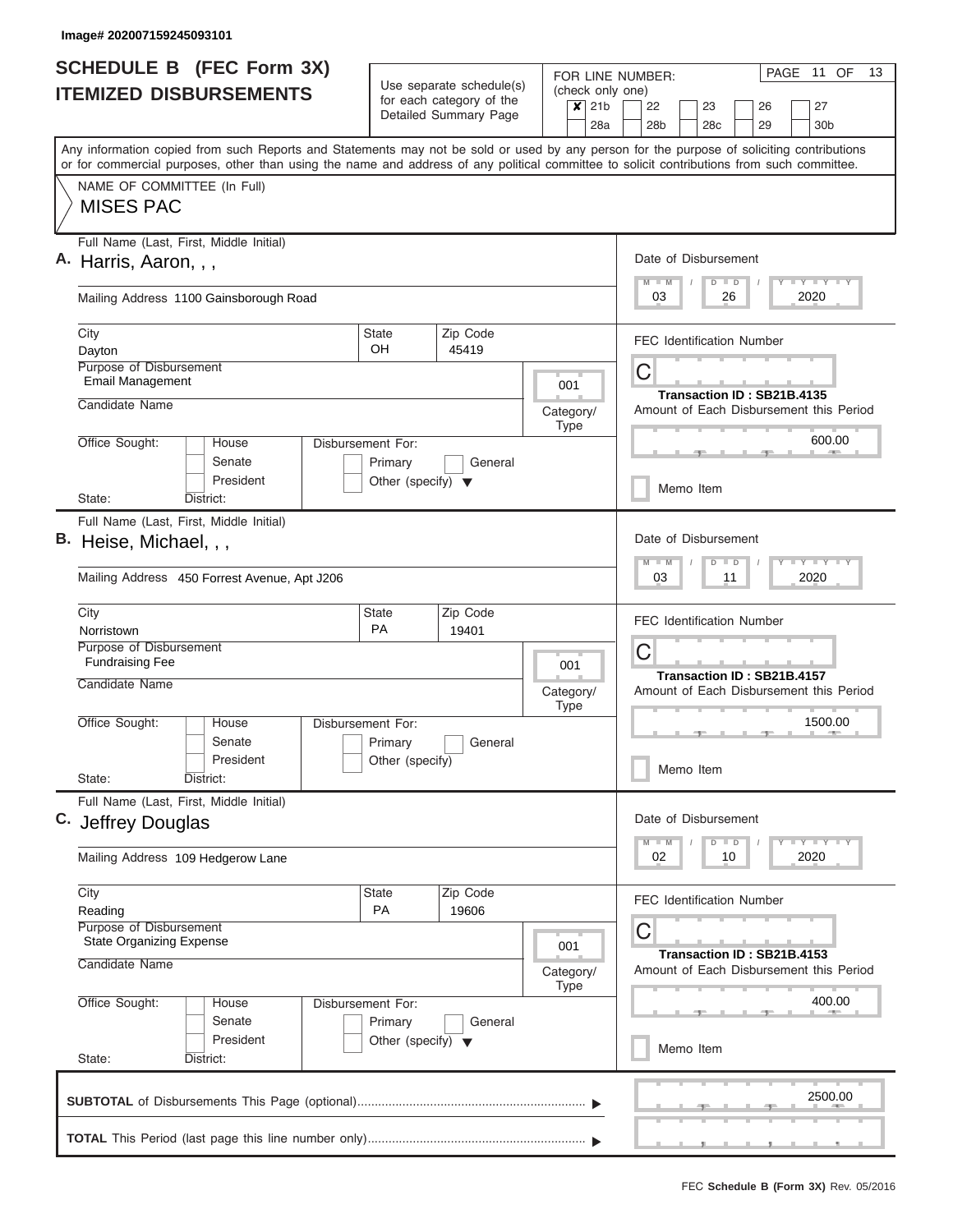| <b>SCHEDULE B (FEC Form 3X)</b><br>Use separate schedule(s) |                                                                                                                                                                                                                                                                                         |                                                 |                                                                                                                  |           |                             |                      | PAGE 11 OF<br>13<br>FOR LINE NUMBER:                                  |  |  |  |  |  |  |  |
|-------------------------------------------------------------|-----------------------------------------------------------------------------------------------------------------------------------------------------------------------------------------------------------------------------------------------------------------------------------------|-------------------------------------------------|------------------------------------------------------------------------------------------------------------------|-----------|-----------------------------|----------------------|-----------------------------------------------------------------------|--|--|--|--|--|--|--|
|                                                             | <b>ITEMIZED DISBURSEMENTS</b>                                                                                                                                                                                                                                                           | for each category of the                        |                                                                                                                  |           | (check only one)<br>$x$ 21b | 22<br>23<br>26<br>27 |                                                                       |  |  |  |  |  |  |  |
|                                                             |                                                                                                                                                                                                                                                                                         |                                                 | Detailed Summary Page                                                                                            |           |                             |                      | 28 <sub>b</sub><br>28 <sub>c</sub><br>29<br>30 <sub>b</sub>           |  |  |  |  |  |  |  |
|                                                             | Any information copied from such Reports and Statements may not be sold or used by any person for the purpose of soliciting contributions<br>or for commercial purposes, other than using the name and address of any political committee to solicit contributions from such committee. |                                                 |                                                                                                                  |           |                             |                      |                                                                       |  |  |  |  |  |  |  |
|                                                             | NAME OF COMMITTEE (In Full)<br><b>MISES PAC</b>                                                                                                                                                                                                                                         |                                                 |                                                                                                                  |           |                             |                      |                                                                       |  |  |  |  |  |  |  |
|                                                             |                                                                                                                                                                                                                                                                                         |                                                 |                                                                                                                  |           |                             |                      |                                                                       |  |  |  |  |  |  |  |
|                                                             | Full Name (Last, First, Middle Initial)<br>A. Harris, Aaron, , ,                                                                                                                                                                                                                        |                                                 |                                                                                                                  |           |                             |                      | Date of Disbursement<br>Y LY LY LY<br>$D$ $D$                         |  |  |  |  |  |  |  |
|                                                             | Mailing Address 1100 Gainsborough Road                                                                                                                                                                                                                                                  |                                                 |                                                                                                                  |           |                             |                      | $M - M$<br>2020<br>03<br>26                                           |  |  |  |  |  |  |  |
|                                                             | City<br>Dayton                                                                                                                                                                                                                                                                          | <b>State</b><br><b>OH</b>                       | Zip Code<br>45419                                                                                                |           |                             |                      | <b>FEC Identification Number</b>                                      |  |  |  |  |  |  |  |
|                                                             | <b>Purpose of Disbursement</b><br><b>Email Management</b>                                                                                                                                                                                                                               |                                                 |                                                                                                                  |           | 001                         |                      | C                                                                     |  |  |  |  |  |  |  |
|                                                             | Candidate Name                                                                                                                                                                                                                                                                          |                                                 |                                                                                                                  | Category/ |                             |                      | Transaction ID: SB21B.4135<br>Amount of Each Disbursement this Period |  |  |  |  |  |  |  |
|                                                             | Office Sought:<br>House                                                                                                                                                                                                                                                                 | Disbursement For:                               |                                                                                                                  |           | Type                        |                      | 600.00                                                                |  |  |  |  |  |  |  |
|                                                             | Senate<br>President                                                                                                                                                                                                                                                                     | Primary<br>Other (specify) $\blacktriangledown$ | General                                                                                                          |           |                             |                      | Memo Item                                                             |  |  |  |  |  |  |  |
|                                                             | State:<br>District:                                                                                                                                                                                                                                                                     |                                                 |                                                                                                                  |           |                             |                      |                                                                       |  |  |  |  |  |  |  |
|                                                             | B. Heise, Michael, , ,                                                                                                                                                                                                                                                                  | Full Name (Last, First, Middle Initial)         |                                                                                                                  |           |                             |                      |                                                                       |  |  |  |  |  |  |  |
|                                                             | Mailing Address 450 Forrest Avenue, Apt J206                                                                                                                                                                                                                                            |                                                 | $-Y - Y - I - Y$<br>$M - M$<br>$\Box$<br>D<br>2020<br>03<br>11                                                   |           |                             |                      |                                                                       |  |  |  |  |  |  |  |
|                                                             | City<br>Norristown                                                                                                                                                                                                                                                                      | <b>State</b><br><b>PA</b>                       | Zip Code<br>19401                                                                                                |           |                             |                      | <b>FEC Identification Number</b>                                      |  |  |  |  |  |  |  |
|                                                             | Purpose of Disbursement<br><b>Fundraising Fee</b>                                                                                                                                                                                                                                       |                                                 |                                                                                                                  |           | 001                         |                      | C                                                                     |  |  |  |  |  |  |  |
|                                                             | Candidate Name                                                                                                                                                                                                                                                                          | Category/<br><b>Type</b>                        |                                                                                                                  |           |                             |                      | Transaction ID: SB21B.4157<br>Amount of Each Disbursement this Period |  |  |  |  |  |  |  |
|                                                             | Office Sought:<br>House<br>Senate                                                                                                                                                                                                                                                       | Disbursement For:<br>Primary<br>General         |                                                                                                                  |           |                             |                      | 1500.00                                                               |  |  |  |  |  |  |  |
|                                                             | President<br>State:<br>District:                                                                                                                                                                                                                                                        | Other (specify)                                 |                                                                                                                  |           |                             |                      | Memo Item                                                             |  |  |  |  |  |  |  |
|                                                             | Full Name (Last, First, Middle Initial)<br>C. Jeffrey Douglas                                                                                                                                                                                                                           |                                                 |                                                                                                                  |           |                             |                      | Date of Disbursement                                                  |  |  |  |  |  |  |  |
|                                                             | Mailing Address 109 Hedgerow Lane                                                                                                                                                                                                                                                       |                                                 | $\mathbb{L} \mathbf{Y} \mathbb{L} \mathbf{Y} \mathbb{L} \mathbf{Y}$<br>M<br>$\Box$<br>M<br>D<br>02<br>10<br>2020 |           |                             |                      |                                                                       |  |  |  |  |  |  |  |
|                                                             | City<br>State                                                                                                                                                                                                                                                                           |                                                 | <b>FEC Identification Number</b>                                                                                 |           |                             |                      |                                                                       |  |  |  |  |  |  |  |
|                                                             | Reading<br>Purpose of Disbursement<br><b>State Organizing Expense</b>                                                                                                                                                                                                                   |                                                 | C                                                                                                                |           |                             |                      |                                                                       |  |  |  |  |  |  |  |
|                                                             | 001<br>Candidate Name<br>Category/<br>Type                                                                                                                                                                                                                                              |                                                 |                                                                                                                  |           |                             |                      | Transaction ID: SB21B.4153<br>Amount of Each Disbursement this Period |  |  |  |  |  |  |  |
|                                                             | Office Sought:<br>House<br>Senate                                                                                                                                                                                                                                                       | Disbursement For:<br>Primary                    |                                                                                                                  | 400.00    |                             |                      |                                                                       |  |  |  |  |  |  |  |
|                                                             | President<br>State:<br>District:                                                                                                                                                                                                                                                        | Other (specify) $\blacktriangledown$            | General                                                                                                          |           |                             |                      | Memo Item                                                             |  |  |  |  |  |  |  |
|                                                             |                                                                                                                                                                                                                                                                                         |                                                 |                                                                                                                  |           |                             |                      | 2500.00                                                               |  |  |  |  |  |  |  |
|                                                             |                                                                                                                                                                                                                                                                                         |                                                 |                                                                                                                  |           |                             |                      |                                                                       |  |  |  |  |  |  |  |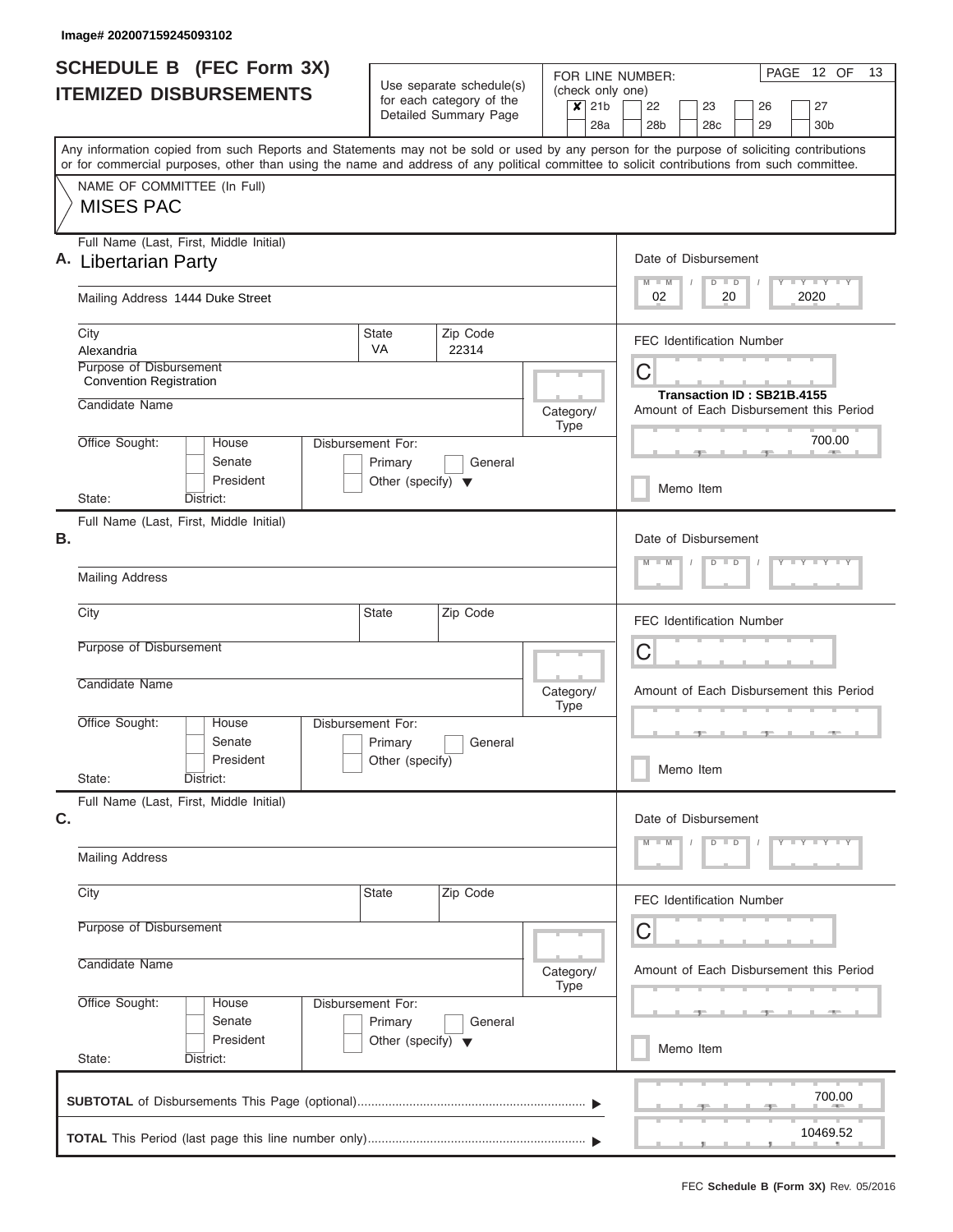| Use separate schedule(s)<br>(check only one)<br><b>ITEMIZED DISBURSEMENTS</b><br>for each category of the<br>$\overline{\mathsf{x}}$ 21b<br>22<br>23<br>27<br>26<br>Detailed Summary Page<br>28a<br>28 <sub>b</sub><br>28 <sub>c</sub><br>29<br>30 <sub>b</sub><br>Any information copied from such Reports and Statements may not be sold or used by any person for the purpose of soliciting contributions<br>or for commercial purposes, other than using the name and address of any political committee to solicit contributions from such committee.<br>NAME OF COMMITTEE (In Full)<br><b>MISES PAC</b><br>Full Name (Last, First, Middle Initial)<br>Date of Disbursement<br>A. Libertarian Party<br>Y LY LY LY<br>$M$ $M$<br>$D$ $D$<br>02<br>2020<br>Mailing Address 1444 Duke Street<br>20<br><b>State</b><br>Zip Code<br>City<br><b>FEC Identification Number</b><br><b>VA</b><br>Alexandria<br>22314<br>Purpose of Disbursement<br>C<br><b>Convention Registration</b><br>Transaction ID: SB21B.4155<br>Candidate Name<br>Amount of Each Disbursement this Period<br>Category/<br>Type<br>700.00<br>Office Sought:<br>Disbursement For:<br>House<br><b>CONTRACTOR</b><br>Senate<br>Primary<br>General<br>President<br>Other (specify) $\blacktriangledown$<br>Memo Item<br>State:<br>District:<br>Full Name (Last, First, Middle Initial)<br>Date of Disbursement<br>$Y - Y - Y - Y - I - Y$<br>$M - M$<br>$D$ $D$<br><b>Mailing Address</b><br>State<br>City<br>Zip Code<br><b>FEC Identification Number</b><br>Purpose of Disbursement<br>C<br>Candidate Name<br>Amount of Each Disbursement this Period<br>Category/<br><b>Type</b><br>Office Sought:<br>Disbursement For:<br>House<br>Senate<br>Primary<br>General<br>President<br>Other (specify)<br>Memo Item<br>State:<br>District:<br>Full Name (Last, First, Middle Initial)<br>Date of Disbursement<br>$D$ $D$<br>$Y$ $Y$ $Y$ $Y$ $Y$<br>M<br><b>Mailing Address</b><br>Zip Code<br>City<br>State<br><b>FEC Identification Number</b><br>Purpose of Disbursement<br>С<br>Candidate Name<br>Amount of Each Disbursement this Period<br>Category/<br>Type<br>Office Sought:<br>House<br>Disbursement For:<br>Senate<br>Primary<br>General<br>President<br>Other (specify) $\blacktriangledown$<br>Memo Item<br>State:<br>District:<br>700.00<br>10469.52 |    | <b>SCHEDULE B (FEC Form 3X)</b> |  |  |  |  |  | FOR LINE NUMBER: |  |  |  |  | PAGE 12 OF | 13 |  |  |
|------------------------------------------------------------------------------------------------------------------------------------------------------------------------------------------------------------------------------------------------------------------------------------------------------------------------------------------------------------------------------------------------------------------------------------------------------------------------------------------------------------------------------------------------------------------------------------------------------------------------------------------------------------------------------------------------------------------------------------------------------------------------------------------------------------------------------------------------------------------------------------------------------------------------------------------------------------------------------------------------------------------------------------------------------------------------------------------------------------------------------------------------------------------------------------------------------------------------------------------------------------------------------------------------------------------------------------------------------------------------------------------------------------------------------------------------------------------------------------------------------------------------------------------------------------------------------------------------------------------------------------------------------------------------------------------------------------------------------------------------------------------------------------------------------------------------------------------------------------------------------------------------------------------------------------------------------------------------------------------------------------------------------------------------------------------------------------------------------------------------------------------------------------------------------------------------------------------------------------------------------------------------------------------------------------------------------|----|---------------------------------|--|--|--|--|--|------------------|--|--|--|--|------------|----|--|--|
|                                                                                                                                                                                                                                                                                                                                                                                                                                                                                                                                                                                                                                                                                                                                                                                                                                                                                                                                                                                                                                                                                                                                                                                                                                                                                                                                                                                                                                                                                                                                                                                                                                                                                                                                                                                                                                                                                                                                                                                                                                                                                                                                                                                                                                                                                                                              |    |                                 |  |  |  |  |  |                  |  |  |  |  |            |    |  |  |
|                                                                                                                                                                                                                                                                                                                                                                                                                                                                                                                                                                                                                                                                                                                                                                                                                                                                                                                                                                                                                                                                                                                                                                                                                                                                                                                                                                                                                                                                                                                                                                                                                                                                                                                                                                                                                                                                                                                                                                                                                                                                                                                                                                                                                                                                                                                              |    |                                 |  |  |  |  |  |                  |  |  |  |  |            |    |  |  |
|                                                                                                                                                                                                                                                                                                                                                                                                                                                                                                                                                                                                                                                                                                                                                                                                                                                                                                                                                                                                                                                                                                                                                                                                                                                                                                                                                                                                                                                                                                                                                                                                                                                                                                                                                                                                                                                                                                                                                                                                                                                                                                                                                                                                                                                                                                                              |    |                                 |  |  |  |  |  |                  |  |  |  |  |            |    |  |  |
|                                                                                                                                                                                                                                                                                                                                                                                                                                                                                                                                                                                                                                                                                                                                                                                                                                                                                                                                                                                                                                                                                                                                                                                                                                                                                                                                                                                                                                                                                                                                                                                                                                                                                                                                                                                                                                                                                                                                                                                                                                                                                                                                                                                                                                                                                                                              |    |                                 |  |  |  |  |  |                  |  |  |  |  |            |    |  |  |
|                                                                                                                                                                                                                                                                                                                                                                                                                                                                                                                                                                                                                                                                                                                                                                                                                                                                                                                                                                                                                                                                                                                                                                                                                                                                                                                                                                                                                                                                                                                                                                                                                                                                                                                                                                                                                                                                                                                                                                                                                                                                                                                                                                                                                                                                                                                              |    |                                 |  |  |  |  |  |                  |  |  |  |  |            |    |  |  |
|                                                                                                                                                                                                                                                                                                                                                                                                                                                                                                                                                                                                                                                                                                                                                                                                                                                                                                                                                                                                                                                                                                                                                                                                                                                                                                                                                                                                                                                                                                                                                                                                                                                                                                                                                                                                                                                                                                                                                                                                                                                                                                                                                                                                                                                                                                                              |    |                                 |  |  |  |  |  |                  |  |  |  |  |            |    |  |  |
|                                                                                                                                                                                                                                                                                                                                                                                                                                                                                                                                                                                                                                                                                                                                                                                                                                                                                                                                                                                                                                                                                                                                                                                                                                                                                                                                                                                                                                                                                                                                                                                                                                                                                                                                                                                                                                                                                                                                                                                                                                                                                                                                                                                                                                                                                                                              |    |                                 |  |  |  |  |  |                  |  |  |  |  |            |    |  |  |
|                                                                                                                                                                                                                                                                                                                                                                                                                                                                                                                                                                                                                                                                                                                                                                                                                                                                                                                                                                                                                                                                                                                                                                                                                                                                                                                                                                                                                                                                                                                                                                                                                                                                                                                                                                                                                                                                                                                                                                                                                                                                                                                                                                                                                                                                                                                              |    |                                 |  |  |  |  |  |                  |  |  |  |  |            |    |  |  |
|                                                                                                                                                                                                                                                                                                                                                                                                                                                                                                                                                                                                                                                                                                                                                                                                                                                                                                                                                                                                                                                                                                                                                                                                                                                                                                                                                                                                                                                                                                                                                                                                                                                                                                                                                                                                                                                                                                                                                                                                                                                                                                                                                                                                                                                                                                                              |    |                                 |  |  |  |  |  |                  |  |  |  |  |            |    |  |  |
|                                                                                                                                                                                                                                                                                                                                                                                                                                                                                                                                                                                                                                                                                                                                                                                                                                                                                                                                                                                                                                                                                                                                                                                                                                                                                                                                                                                                                                                                                                                                                                                                                                                                                                                                                                                                                                                                                                                                                                                                                                                                                                                                                                                                                                                                                                                              |    |                                 |  |  |  |  |  |                  |  |  |  |  |            |    |  |  |
|                                                                                                                                                                                                                                                                                                                                                                                                                                                                                                                                                                                                                                                                                                                                                                                                                                                                                                                                                                                                                                                                                                                                                                                                                                                                                                                                                                                                                                                                                                                                                                                                                                                                                                                                                                                                                                                                                                                                                                                                                                                                                                                                                                                                                                                                                                                              |    |                                 |  |  |  |  |  |                  |  |  |  |  |            |    |  |  |
|                                                                                                                                                                                                                                                                                                                                                                                                                                                                                                                                                                                                                                                                                                                                                                                                                                                                                                                                                                                                                                                                                                                                                                                                                                                                                                                                                                                                                                                                                                                                                                                                                                                                                                                                                                                                                                                                                                                                                                                                                                                                                                                                                                                                                                                                                                                              |    |                                 |  |  |  |  |  |                  |  |  |  |  |            |    |  |  |
|                                                                                                                                                                                                                                                                                                                                                                                                                                                                                                                                                                                                                                                                                                                                                                                                                                                                                                                                                                                                                                                                                                                                                                                                                                                                                                                                                                                                                                                                                                                                                                                                                                                                                                                                                                                                                                                                                                                                                                                                                                                                                                                                                                                                                                                                                                                              |    |                                 |  |  |  |  |  |                  |  |  |  |  |            |    |  |  |
|                                                                                                                                                                                                                                                                                                                                                                                                                                                                                                                                                                                                                                                                                                                                                                                                                                                                                                                                                                                                                                                                                                                                                                                                                                                                                                                                                                                                                                                                                                                                                                                                                                                                                                                                                                                                                                                                                                                                                                                                                                                                                                                                                                                                                                                                                                                              |    |                                 |  |  |  |  |  |                  |  |  |  |  |            |    |  |  |
|                                                                                                                                                                                                                                                                                                                                                                                                                                                                                                                                                                                                                                                                                                                                                                                                                                                                                                                                                                                                                                                                                                                                                                                                                                                                                                                                                                                                                                                                                                                                                                                                                                                                                                                                                                                                                                                                                                                                                                                                                                                                                                                                                                                                                                                                                                                              |    |                                 |  |  |  |  |  |                  |  |  |  |  |            |    |  |  |
|                                                                                                                                                                                                                                                                                                                                                                                                                                                                                                                                                                                                                                                                                                                                                                                                                                                                                                                                                                                                                                                                                                                                                                                                                                                                                                                                                                                                                                                                                                                                                                                                                                                                                                                                                                                                                                                                                                                                                                                                                                                                                                                                                                                                                                                                                                                              |    |                                 |  |  |  |  |  |                  |  |  |  |  |            |    |  |  |
|                                                                                                                                                                                                                                                                                                                                                                                                                                                                                                                                                                                                                                                                                                                                                                                                                                                                                                                                                                                                                                                                                                                                                                                                                                                                                                                                                                                                                                                                                                                                                                                                                                                                                                                                                                                                                                                                                                                                                                                                                                                                                                                                                                                                                                                                                                                              | В. |                                 |  |  |  |  |  |                  |  |  |  |  |            |    |  |  |
|                                                                                                                                                                                                                                                                                                                                                                                                                                                                                                                                                                                                                                                                                                                                                                                                                                                                                                                                                                                                                                                                                                                                                                                                                                                                                                                                                                                                                                                                                                                                                                                                                                                                                                                                                                                                                                                                                                                                                                                                                                                                                                                                                                                                                                                                                                                              |    |                                 |  |  |  |  |  |                  |  |  |  |  |            |    |  |  |
|                                                                                                                                                                                                                                                                                                                                                                                                                                                                                                                                                                                                                                                                                                                                                                                                                                                                                                                                                                                                                                                                                                                                                                                                                                                                                                                                                                                                                                                                                                                                                                                                                                                                                                                                                                                                                                                                                                                                                                                                                                                                                                                                                                                                                                                                                                                              |    |                                 |  |  |  |  |  |                  |  |  |  |  |            |    |  |  |
|                                                                                                                                                                                                                                                                                                                                                                                                                                                                                                                                                                                                                                                                                                                                                                                                                                                                                                                                                                                                                                                                                                                                                                                                                                                                                                                                                                                                                                                                                                                                                                                                                                                                                                                                                                                                                                                                                                                                                                                                                                                                                                                                                                                                                                                                                                                              |    |                                 |  |  |  |  |  |                  |  |  |  |  |            |    |  |  |
|                                                                                                                                                                                                                                                                                                                                                                                                                                                                                                                                                                                                                                                                                                                                                                                                                                                                                                                                                                                                                                                                                                                                                                                                                                                                                                                                                                                                                                                                                                                                                                                                                                                                                                                                                                                                                                                                                                                                                                                                                                                                                                                                                                                                                                                                                                                              |    |                                 |  |  |  |  |  |                  |  |  |  |  |            |    |  |  |
|                                                                                                                                                                                                                                                                                                                                                                                                                                                                                                                                                                                                                                                                                                                                                                                                                                                                                                                                                                                                                                                                                                                                                                                                                                                                                                                                                                                                                                                                                                                                                                                                                                                                                                                                                                                                                                                                                                                                                                                                                                                                                                                                                                                                                                                                                                                              |    |                                 |  |  |  |  |  |                  |  |  |  |  |            |    |  |  |
|                                                                                                                                                                                                                                                                                                                                                                                                                                                                                                                                                                                                                                                                                                                                                                                                                                                                                                                                                                                                                                                                                                                                                                                                                                                                                                                                                                                                                                                                                                                                                                                                                                                                                                                                                                                                                                                                                                                                                                                                                                                                                                                                                                                                                                                                                                                              |    |                                 |  |  |  |  |  |                  |  |  |  |  |            |    |  |  |
|                                                                                                                                                                                                                                                                                                                                                                                                                                                                                                                                                                                                                                                                                                                                                                                                                                                                                                                                                                                                                                                                                                                                                                                                                                                                                                                                                                                                                                                                                                                                                                                                                                                                                                                                                                                                                                                                                                                                                                                                                                                                                                                                                                                                                                                                                                                              |    |                                 |  |  |  |  |  |                  |  |  |  |  |            |    |  |  |
|                                                                                                                                                                                                                                                                                                                                                                                                                                                                                                                                                                                                                                                                                                                                                                                                                                                                                                                                                                                                                                                                                                                                                                                                                                                                                                                                                                                                                                                                                                                                                                                                                                                                                                                                                                                                                                                                                                                                                                                                                                                                                                                                                                                                                                                                                                                              |    |                                 |  |  |  |  |  |                  |  |  |  |  |            |    |  |  |
|                                                                                                                                                                                                                                                                                                                                                                                                                                                                                                                                                                                                                                                                                                                                                                                                                                                                                                                                                                                                                                                                                                                                                                                                                                                                                                                                                                                                                                                                                                                                                                                                                                                                                                                                                                                                                                                                                                                                                                                                                                                                                                                                                                                                                                                                                                                              |    |                                 |  |  |  |  |  |                  |  |  |  |  |            |    |  |  |
|                                                                                                                                                                                                                                                                                                                                                                                                                                                                                                                                                                                                                                                                                                                                                                                                                                                                                                                                                                                                                                                                                                                                                                                                                                                                                                                                                                                                                                                                                                                                                                                                                                                                                                                                                                                                                                                                                                                                                                                                                                                                                                                                                                                                                                                                                                                              |    |                                 |  |  |  |  |  |                  |  |  |  |  |            |    |  |  |
|                                                                                                                                                                                                                                                                                                                                                                                                                                                                                                                                                                                                                                                                                                                                                                                                                                                                                                                                                                                                                                                                                                                                                                                                                                                                                                                                                                                                                                                                                                                                                                                                                                                                                                                                                                                                                                                                                                                                                                                                                                                                                                                                                                                                                                                                                                                              | C. |                                 |  |  |  |  |  |                  |  |  |  |  |            |    |  |  |
|                                                                                                                                                                                                                                                                                                                                                                                                                                                                                                                                                                                                                                                                                                                                                                                                                                                                                                                                                                                                                                                                                                                                                                                                                                                                                                                                                                                                                                                                                                                                                                                                                                                                                                                                                                                                                                                                                                                                                                                                                                                                                                                                                                                                                                                                                                                              |    |                                 |  |  |  |  |  |                  |  |  |  |  |            |    |  |  |
|                                                                                                                                                                                                                                                                                                                                                                                                                                                                                                                                                                                                                                                                                                                                                                                                                                                                                                                                                                                                                                                                                                                                                                                                                                                                                                                                                                                                                                                                                                                                                                                                                                                                                                                                                                                                                                                                                                                                                                                                                                                                                                                                                                                                                                                                                                                              |    |                                 |  |  |  |  |  |                  |  |  |  |  |            |    |  |  |
|                                                                                                                                                                                                                                                                                                                                                                                                                                                                                                                                                                                                                                                                                                                                                                                                                                                                                                                                                                                                                                                                                                                                                                                                                                                                                                                                                                                                                                                                                                                                                                                                                                                                                                                                                                                                                                                                                                                                                                                                                                                                                                                                                                                                                                                                                                                              |    |                                 |  |  |  |  |  |                  |  |  |  |  |            |    |  |  |
|                                                                                                                                                                                                                                                                                                                                                                                                                                                                                                                                                                                                                                                                                                                                                                                                                                                                                                                                                                                                                                                                                                                                                                                                                                                                                                                                                                                                                                                                                                                                                                                                                                                                                                                                                                                                                                                                                                                                                                                                                                                                                                                                                                                                                                                                                                                              |    |                                 |  |  |  |  |  |                  |  |  |  |  |            |    |  |  |
|                                                                                                                                                                                                                                                                                                                                                                                                                                                                                                                                                                                                                                                                                                                                                                                                                                                                                                                                                                                                                                                                                                                                                                                                                                                                                                                                                                                                                                                                                                                                                                                                                                                                                                                                                                                                                                                                                                                                                                                                                                                                                                                                                                                                                                                                                                                              |    |                                 |  |  |  |  |  |                  |  |  |  |  |            |    |  |  |
|                                                                                                                                                                                                                                                                                                                                                                                                                                                                                                                                                                                                                                                                                                                                                                                                                                                                                                                                                                                                                                                                                                                                                                                                                                                                                                                                                                                                                                                                                                                                                                                                                                                                                                                                                                                                                                                                                                                                                                                                                                                                                                                                                                                                                                                                                                                              |    |                                 |  |  |  |  |  |                  |  |  |  |  |            |    |  |  |
|                                                                                                                                                                                                                                                                                                                                                                                                                                                                                                                                                                                                                                                                                                                                                                                                                                                                                                                                                                                                                                                                                                                                                                                                                                                                                                                                                                                                                                                                                                                                                                                                                                                                                                                                                                                                                                                                                                                                                                                                                                                                                                                                                                                                                                                                                                                              |    |                                 |  |  |  |  |  |                  |  |  |  |  |            |    |  |  |
|                                                                                                                                                                                                                                                                                                                                                                                                                                                                                                                                                                                                                                                                                                                                                                                                                                                                                                                                                                                                                                                                                                                                                                                                                                                                                                                                                                                                                                                                                                                                                                                                                                                                                                                                                                                                                                                                                                                                                                                                                                                                                                                                                                                                                                                                                                                              |    |                                 |  |  |  |  |  |                  |  |  |  |  |            |    |  |  |
|                                                                                                                                                                                                                                                                                                                                                                                                                                                                                                                                                                                                                                                                                                                                                                                                                                                                                                                                                                                                                                                                                                                                                                                                                                                                                                                                                                                                                                                                                                                                                                                                                                                                                                                                                                                                                                                                                                                                                                                                                                                                                                                                                                                                                                                                                                                              |    |                                 |  |  |  |  |  |                  |  |  |  |  |            |    |  |  |